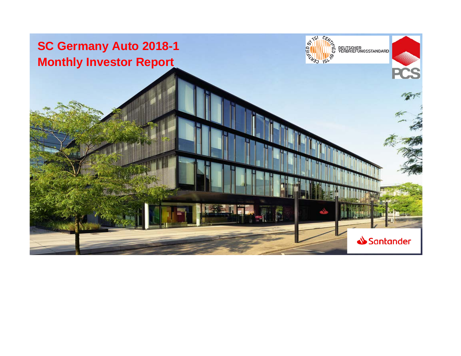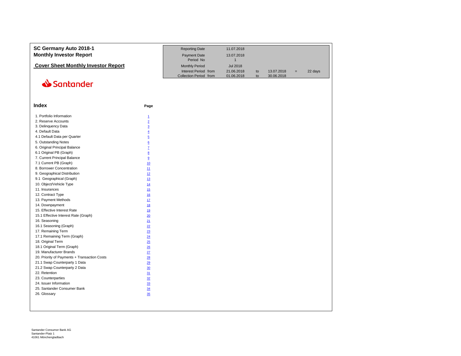| SC Germany Auto 2018-1<br><b>Monthly Investor Report</b> |                         | <b>Reporting Date</b><br><b>Payment Date</b><br>Period No               | 11.07.2018<br>13.07.2018<br>$\mathbf{1}$    |          |                          |     |         |
|----------------------------------------------------------|-------------------------|-------------------------------------------------------------------------|---------------------------------------------|----------|--------------------------|-----|---------|
| <b>Cover Sheet Monthly Investor Report</b>               |                         | <b>Monthly Period</b><br>Interest Period from<br>Collection Period from | <b>Jul 2018</b><br>21.06.2018<br>01.06.2018 | to<br>to | 13.07.2018<br>30.06.2018 | $=$ | 22 days |
| Santander                                                |                         |                                                                         |                                             |          |                          |     |         |
| <b>Index</b>                                             | Page                    |                                                                         |                                             |          |                          |     |         |
| 1. Portfolio Information                                 | $\overline{1}$          |                                                                         |                                             |          |                          |     |         |
| 2. Reserve Accounts                                      | $\overline{2}$          |                                                                         |                                             |          |                          |     |         |
| 3. Delinquency Data                                      | $\overline{3}$          |                                                                         |                                             |          |                          |     |         |
| 4. Default Data                                          | $\overline{4}$          |                                                                         |                                             |          |                          |     |         |
| 4.1 Default Data per Quarter                             | $\overline{5}$          |                                                                         |                                             |          |                          |     |         |
| 5. Outstanding Notes                                     | $\underline{6}$         |                                                                         |                                             |          |                          |     |         |
| 6. Original Principal Balance                            | $\mathbf{Z}$            |                                                                         |                                             |          |                          |     |         |
| 6.1 Original PB (Graph)                                  | $\underline{8}$         |                                                                         |                                             |          |                          |     |         |
| 7. Current Principal Balance                             | $\overline{\mathbf{g}}$ |                                                                         |                                             |          |                          |     |         |
| 7.1 Current PB (Graph)                                   | 10                      |                                                                         |                                             |          |                          |     |         |
| 8. Borrower Concentration                                | 11                      |                                                                         |                                             |          |                          |     |         |
| 9. Geographical Distribution                             | 12                      |                                                                         |                                             |          |                          |     |         |
| 9.1 Geographical (Graph)                                 | 13                      |                                                                         |                                             |          |                          |     |         |
| 10. Object/Vehicle Type                                  | 14                      |                                                                         |                                             |          |                          |     |         |
| 11. Insurances                                           | 15                      |                                                                         |                                             |          |                          |     |         |
| 12. Contract Type                                        | 16                      |                                                                         |                                             |          |                          |     |         |
| 13. Payment Methods                                      | 17                      |                                                                         |                                             |          |                          |     |         |
| 14. Downpayment                                          | 18                      |                                                                         |                                             |          |                          |     |         |
| 15. Effective Interest Rate                              | 19                      |                                                                         |                                             |          |                          |     |         |
| 15.1 Effective Interest Rate (Graph)                     | 20                      |                                                                         |                                             |          |                          |     |         |
| 16. Seasoning                                            | 21                      |                                                                         |                                             |          |                          |     |         |
| 16.1 Seasoning (Graph)                                   | 22                      |                                                                         |                                             |          |                          |     |         |
| 17. Remaining Term                                       | 23                      |                                                                         |                                             |          |                          |     |         |
| 17.1 Remaining Term (Graph)                              | 24                      |                                                                         |                                             |          |                          |     |         |
| 18. Original Term                                        | 25                      |                                                                         |                                             |          |                          |     |         |
| 18.1 Original Term (Graph)                               | $\underline{26}$        |                                                                         |                                             |          |                          |     |         |
| 19. Manufacturer Brands                                  | 27                      |                                                                         |                                             |          |                          |     |         |
| 20. Priority of Payments + Transaction Costs             | 28                      |                                                                         |                                             |          |                          |     |         |
| 21.1 Swap Counterparty 1 Data                            | 29                      |                                                                         |                                             |          |                          |     |         |
| 21.2 Swap Counterparty 2 Data                            | 30                      |                                                                         |                                             |          |                          |     |         |
| 22. Retention                                            | 31                      |                                                                         |                                             |          |                          |     |         |
| 23. Counterparties                                       | 32                      |                                                                         |                                             |          |                          |     |         |
| 24. Issuer Information                                   | 33                      |                                                                         |                                             |          |                          |     |         |
| 25. Santander Consumer Bank                              | 34                      |                                                                         |                                             |          |                          |     |         |
| 26. Glossary                                             | 35                      |                                                                         |                                             |          |                          |     |         |
|                                                          |                         |                                                                         |                                             |          |                          |     |         |

Santander Consumer Bank AG Santander-Platz 1 41061 Mönchengladbach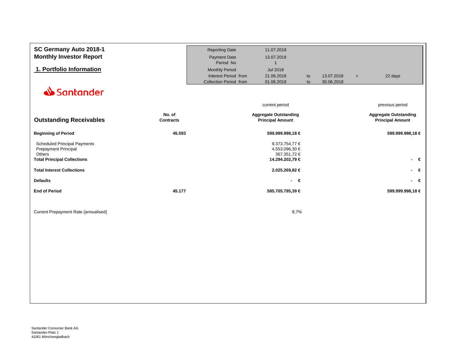<span id="page-2-0"></span>

| SC Germany Auto 2018-1               |                            | <b>Reporting Date</b>  | 11.07.2018                                              |    |            |     |                                                         |
|--------------------------------------|----------------------------|------------------------|---------------------------------------------------------|----|------------|-----|---------------------------------------------------------|
| <b>Monthly Investor Report</b>       |                            | <b>Payment Date</b>    | 13.07.2018                                              |    |            |     |                                                         |
|                                      |                            | Period No              | $\mathbf{1}$                                            |    |            |     |                                                         |
| 1. Portfolio Information             |                            | <b>Monthly Period</b>  | <b>Jul 2018</b>                                         |    |            |     |                                                         |
|                                      |                            | Interest Period from   | 21.06.2018                                              | to | 13.07.2018 | $=$ | 22 days                                                 |
|                                      |                            | Collection Period from | 01.06.2018                                              | to | 30.06.2018 |     |                                                         |
| Santander                            |                            |                        |                                                         |    |            |     |                                                         |
|                                      |                            |                        | current period                                          |    |            |     | previous period                                         |
| <b>Outstanding Receivables</b>       | No. of<br><b>Contracts</b> |                        | <b>Aggregate Outstanding</b><br><b>Principal Amount</b> |    |            |     | <b>Aggregate Outstanding</b><br><b>Principal Amount</b> |
| <b>Beginning of Period</b>           | 45.593                     |                        | 599.999.998,18 €                                        |    |            |     | 599.999.998,18 €                                        |
| <b>Scheduled Principal Payments</b>  |                            |                        | 9.373.754,77 €                                          |    |            |     |                                                         |
| Prepayment Principal                 |                            |                        | 4.553.096,30 €                                          |    |            |     |                                                         |
| Others                               |                            |                        | 367.351,72 €                                            |    |            |     |                                                         |
| <b>Total Principal Collections</b>   |                            |                        | 14.294.202,79 €                                         |    |            |     | - €                                                     |
| <b>Total Interest Collections</b>    |                            |                        | 2.025.269,82 €                                          |    |            |     | - €                                                     |
| <b>Defaults</b>                      |                            |                        | $\epsilon$<br>$\sim$                                    |    |            |     | - €                                                     |
| <b>End of Period</b>                 | 45.177                     |                        | 585.705.795,39 €                                        |    |            |     | 599.999.998,18 €                                        |
|                                      |                            |                        |                                                         |    |            |     |                                                         |
| Current Prepayment Rate (annualised) |                            |                        | 8,7%                                                    |    |            |     |                                                         |
|                                      |                            |                        |                                                         |    |            |     |                                                         |
|                                      |                            |                        |                                                         |    |            |     |                                                         |
|                                      |                            |                        |                                                         |    |            |     |                                                         |
|                                      |                            |                        |                                                         |    |            |     |                                                         |
|                                      |                            |                        |                                                         |    |            |     |                                                         |
|                                      |                            |                        |                                                         |    |            |     |                                                         |
|                                      |                            |                        |                                                         |    |            |     |                                                         |
|                                      |                            |                        |                                                         |    |            |     |                                                         |
|                                      |                            |                        |                                                         |    |            |     |                                                         |
|                                      |                            |                        |                                                         |    |            |     |                                                         |
|                                      |                            |                        |                                                         |    |            |     |                                                         |
|                                      |                            |                        |                                                         |    |            |     |                                                         |
|                                      |                            |                        |                                                         |    |            |     |                                                         |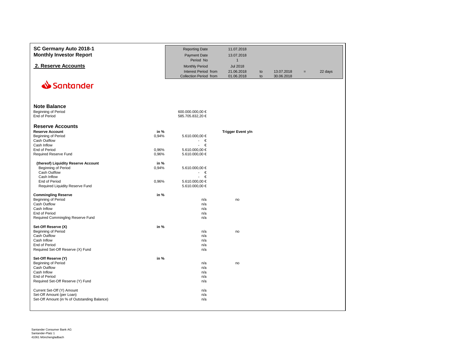<span id="page-3-0"></span>

| SC Germany Auto 2018-1<br><b>Monthly Investor Report</b>                                                                                                                                                                                           | <b>Reporting Date</b><br><b>Payment Date</b><br>Period No                                                            | 11.07.2018<br>13.07.2018<br>$\mathbf{1}$    |          |                          |     |         |
|----------------------------------------------------------------------------------------------------------------------------------------------------------------------------------------------------------------------------------------------------|----------------------------------------------------------------------------------------------------------------------|---------------------------------------------|----------|--------------------------|-----|---------|
| 2. Reserve Accounts                                                                                                                                                                                                                                | <b>Monthly Period</b><br>Interest Period from<br>Collection Period from                                              | <b>Jul 2018</b><br>21.06.2018<br>01.06.2018 | to<br>to | 13.07.2018<br>30.06.2018 | $=$ | 22 days |
| Santander                                                                                                                                                                                                                                          |                                                                                                                      |                                             |          |                          |     |         |
| <b>Note Balance</b><br>Beginning of Period<br>End of Period                                                                                                                                                                                        | 600.000.000,00 €<br>585.705.832,20 €                                                                                 |                                             |          |                          |     |         |
| <b>Reserve Accounts</b><br><b>Reserve Account</b><br>in %<br>Beginning of Period<br>0,94%<br>Cash Outflow<br>Cash Inflow<br>End of Period<br>0,96%<br>0,96%<br>Required Reserve Fund                                                               | 5.610.000,00 €<br>€<br>$\overline{\phantom{a}}$<br>€<br>$\overline{\phantom{a}}$<br>5.610.000,00 €<br>5.610.000,00 € | <b>Trigger Event y/n</b>                    |          |                          |     |         |
| (thereof) Liquidity Reserve Account<br>in %<br>Beginning of Period<br>0,94%<br>Cash Outflow<br>Cash Inflow<br>End of Period<br>0,96%<br>Required Liquidity Reserve Fund                                                                            | 5.610.000,00 €<br>€<br>€<br>$\mathbf{r}$<br>5.610.000,00 €<br>5.610.000,00 €                                         |                                             |          |                          |     |         |
| in %<br><b>Commingling Reserve</b><br>Beginning of Period<br>Cash Outflow<br>Cash Inflow<br>End of Period<br>Required Commingling Reserve Fund                                                                                                     | n/a<br>n/a<br>n/a<br>n/a<br>n/a                                                                                      | no                                          |          |                          |     |         |
| Set-Off Reserve (X)<br>in %<br>Beginning of Period<br><b>Cash Outflow</b><br>Cash Inflow<br>End of Period<br>Required Set-Off Reserve (X) Fund                                                                                                     | n/a<br>n/a<br>n/a<br>n/a<br>n/a                                                                                      | no                                          |          |                          |     |         |
| in %<br>Set-Off Reserve (Y)<br>Beginning of Period<br>Cash Outflow<br>Cash Inflow<br>End of Period<br>Required Set-Off Reserve (Y) Fund<br>Current Set-Off (Y) Amount<br>Set-Off Amount (per Loan)<br>Set-Off Amount (in % of Outstanding Balance) | n/a<br>n/a<br>n/a<br>n/a<br>n/a<br>n/a<br>n/a<br>n/a                                                                 | no                                          |          |                          |     |         |

Santander Consumer Bank AG Santander-Platz 1 41061 Mönchengladbach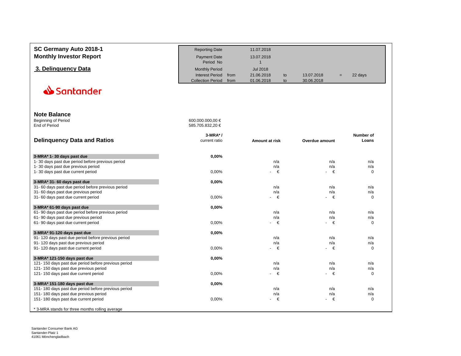<span id="page-4-0"></span>

| SC Germany Auto 2018-1                                                                     | <b>Reporting Date</b>            |      | 11.07.2018                 |    |                |     |                    |
|--------------------------------------------------------------------------------------------|----------------------------------|------|----------------------------|----|----------------|-----|--------------------|
| <b>Monthly Investor Report</b>                                                             | <b>Payment Date</b><br>Period No |      | 13.07.2018<br>$\mathbf{1}$ |    |                |     |                    |
| 3. Delinquency Data                                                                        | <b>Monthly Period</b>            |      | <b>Jul 2018</b>            |    |                |     |                    |
|                                                                                            | <b>Interest Period</b>           | from | 21.06.2018                 | to | 13.07.2018     | $=$ | 22 days            |
|                                                                                            | <b>Collection Period</b>         | from | 01.06.2018                 | to | 30.06.2018     |     |                    |
| Santander                                                                                  |                                  |      |                            |    |                |     |                    |
|                                                                                            |                                  |      |                            |    |                |     |                    |
| <b>Note Balance</b>                                                                        |                                  |      |                            |    |                |     |                    |
| <b>Beginning of Period</b>                                                                 | 600.000.000,00 €                 |      |                            |    |                |     |                    |
| End of Period                                                                              | 585.705.832,20 €                 |      |                            |    |                |     |                    |
|                                                                                            | $3-MRA^*$ /                      |      |                            |    |                |     | Number of          |
| <b>Delinquency Data and Ratios</b>                                                         | current ratio                    |      | Amount at risk             |    | Overdue amount |     | Loans              |
|                                                                                            |                                  |      |                            |    |                |     |                    |
| 3-MRA* 1-30 days past due<br>1-30 days past due period before previous period              | 0,00%                            |      | n/a                        |    | n/a            |     | n/a                |
| 1-30 days past due previous period                                                         |                                  |      | n/a                        |    | n/a            |     | n/a                |
| 1-30 days past due current period                                                          | 0,00%                            |      | €                          |    | €              |     | $\mathbf 0$        |
| 3-MRA* 31- 60 days past due                                                                | 0,00%                            |      |                            |    |                |     |                    |
| 31-60 days past due period before previous period                                          |                                  |      | n/a                        |    | n/a            |     | n/a                |
| 31-60 days past due previous period                                                        | 0,00%                            |      | n/a<br>€<br>$\blacksquare$ |    | n/a<br>€       |     | n/a<br>$\mathbf 0$ |
| 31-60 days past due current period                                                         |                                  |      |                            |    |                |     |                    |
| 3-MRA* 61-90 days past due                                                                 | 0,00%                            |      |                            |    |                |     |                    |
| 61-90 days past due period before previous period                                          |                                  |      | n/a<br>n/a                 |    | n/a<br>n/a     |     | n/a<br>n/a         |
| 61-90 days past due previous period<br>61-90 days past due current period                  | 0,00%                            |      | €                          |    | €              |     | $\mathbf 0$        |
|                                                                                            |                                  |      |                            |    |                |     |                    |
| 3-MRA* 91-120 days past due                                                                | 0,00%                            |      |                            |    |                |     |                    |
| 91-120 days past due period before previous period<br>91-120 days past due previous period |                                  |      | n/a<br>n/a                 |    | n/a<br>n/a     |     | n/a<br>n/a         |
| 91-120 days past due current period                                                        | 0,00%                            |      | €                          |    | €              |     | $\mathbf 0$        |
|                                                                                            |                                  |      |                            |    |                |     |                    |
| 3-MRA* 121-150 days past due<br>121-150 days past due period before previous period        | 0,00%                            |      | n/a                        |    | n/a            |     | n/a                |
| 121-150 days past due previous period                                                      |                                  |      | n/a                        |    | n/a            |     | n/a                |
| 121-150 days past due current period                                                       | 0,00%                            |      | €                          |    | €              |     | $\mathbf 0$        |
| 3-MRA* 151-180 days past due                                                               | 0,00%                            |      |                            |    |                |     |                    |
| 151-180 days past due period before previous period                                        |                                  |      | n/a                        |    | n/a            |     | n/a                |
| 151-180 days past due previous period                                                      |                                  |      | n/a                        |    | n/a            |     | n/a                |
| 151-180 days past due current period                                                       | 0,00%                            |      | - €                        |    | - €            |     | $\mathbf 0$        |
| * 3-MRA stands for three months rolling average                                            |                                  |      |                            |    |                |     |                    |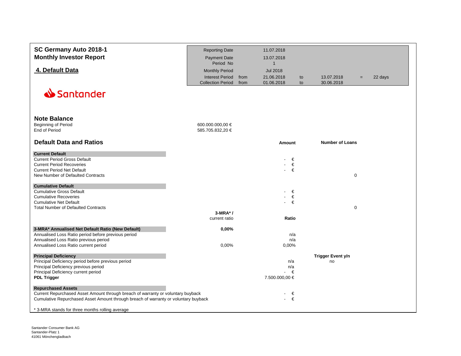<span id="page-5-0"></span>

| SC Germany Auto 2018-1                                                              | <b>Reporting Date</b>                              |              | 11.07.2018               |          |                          |             |         |
|-------------------------------------------------------------------------------------|----------------------------------------------------|--------------|--------------------------|----------|--------------------------|-------------|---------|
| <b>Monthly Investor Report</b>                                                      | <b>Payment Date</b>                                |              | 13.07.2018               |          |                          |             |         |
|                                                                                     | Period No                                          |              | $\mathbf{1}$             |          |                          |             |         |
| 4. Default Data                                                                     | <b>Monthly Period</b>                              |              | <b>Jul 2018</b>          |          |                          |             |         |
|                                                                                     |                                                    |              |                          |          |                          |             |         |
|                                                                                     | <b>Interest Period</b><br><b>Collection Period</b> | from<br>from | 21.06.2018<br>01.06.2018 | to<br>to | 13.07.2018<br>30.06.2018 | $=$         | 22 days |
|                                                                                     |                                                    |              |                          |          |                          |             |         |
| Santander                                                                           |                                                    |              |                          |          |                          |             |         |
|                                                                                     |                                                    |              |                          |          |                          |             |         |
|                                                                                     |                                                    |              |                          |          |                          |             |         |
|                                                                                     |                                                    |              |                          |          |                          |             |         |
| <b>Note Balance</b>                                                                 |                                                    |              |                          |          |                          |             |         |
| <b>Beginning of Period</b>                                                          | 600.000.000,00 €                                   |              |                          |          |                          |             |         |
| End of Period                                                                       | 585.705.832,20 €                                   |              |                          |          |                          |             |         |
|                                                                                     |                                                    |              |                          |          |                          |             |         |
| <b>Default Data and Ratios</b>                                                      |                                                    |              | <b>Amount</b>            |          | <b>Number of Loans</b>   |             |         |
| <b>Current Default</b>                                                              |                                                    |              |                          |          |                          |             |         |
| <b>Current Period Gross Default</b>                                                 |                                                    |              | €                        |          |                          |             |         |
| <b>Current Period Recoveries</b>                                                    |                                                    |              | €                        |          |                          |             |         |
| <b>Current Period Net Default</b>                                                   |                                                    |              | €<br>$\blacksquare$      |          |                          |             |         |
| New Number of Defaulted Contracts                                                   |                                                    |              |                          |          |                          | $\mathbf 0$ |         |
|                                                                                     |                                                    |              |                          |          |                          |             |         |
| <b>Cumulative Default</b>                                                           |                                                    |              |                          |          |                          |             |         |
| <b>Cumulative Gross Default</b>                                                     |                                                    |              | €                        |          |                          |             |         |
| <b>Cumulative Recoveries</b><br><b>Cumulative Net Default</b>                       |                                                    |              | €<br>€                   |          |                          |             |         |
| <b>Total Number of Defaulted Contracts</b>                                          |                                                    |              |                          |          |                          | $\mathbf 0$ |         |
|                                                                                     | $3-MRA^*$ /                                        |              |                          |          |                          |             |         |
|                                                                                     | current ratio                                      |              | Ratio                    |          |                          |             |         |
|                                                                                     |                                                    |              |                          |          |                          |             |         |
| 3-MRA* Annualised Net Default Ratio (New Default)                                   | 0,00%                                              |              |                          |          |                          |             |         |
| Annualised Loss Ratio period before previous period                                 |                                                    |              | n/a                      |          |                          |             |         |
| Annualised Loss Ratio previous period                                               |                                                    |              | n/a                      |          |                          |             |         |
| Annualised Loss Ratio current period                                                | 0,00%                                              |              | 0,00%                    |          |                          |             |         |
| <b>Principal Deficiency</b>                                                         |                                                    |              |                          |          | Trigger Event y/n        |             |         |
| Principal Deficiency period before previous period                                  |                                                    |              | n/a                      |          | no                       |             |         |
| Principal Deficiency previous period                                                |                                                    |              | n/a                      |          |                          |             |         |
| Principal Deficiency current period                                                 |                                                    |              | €<br>$\blacksquare$      |          |                          |             |         |
| <b>PDL Trigger</b>                                                                  |                                                    |              | 7.500.000,00 €           |          |                          |             |         |
| <b>Repurchased Assets</b>                                                           |                                                    |              |                          |          |                          |             |         |
| Current Repurchased Asset Amount through breach of warranty or voluntary buyback    |                                                    |              | €                        |          |                          |             |         |
| Cumulative Repurchased Asset Amount through breach of warranty or voluntary buyback |                                                    |              | €<br>$\sim 100$          |          |                          |             |         |
|                                                                                     |                                                    |              |                          |          |                          |             |         |
| * 3-MRA stands for three months rolling average                                     |                                                    |              |                          |          |                          |             |         |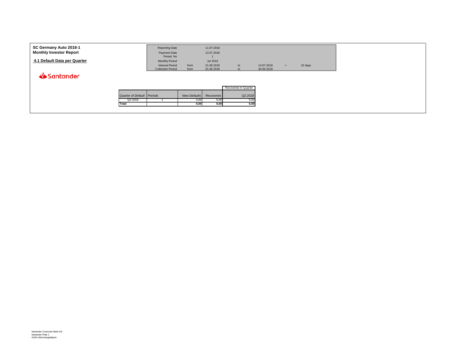<span id="page-6-0"></span>

| SC Germany Auto 2018-1<br><b>Monthly Investor Report</b><br>4.1 Default Data per Quarter |                                   | <b>Reporting Date</b><br>Payment Date<br>Period No<br><b>Monthly Period</b><br><b>Interest Period</b><br><b>Collection Period</b> | from<br>from        | 11.07.2018<br>13.07.2018<br>Jul 2018<br>21.06.2018<br>01.06.2018 | to<br>$t^{\circ}$     | 13.07.2018<br>30.06.2018 | $=$ | 22 days |  |
|------------------------------------------------------------------------------------------|-----------------------------------|-----------------------------------------------------------------------------------------------------------------------------------|---------------------|------------------------------------------------------------------|-----------------------|--------------------------|-----|---------|--|
| Santander                                                                                |                                   |                                                                                                                                   |                     |                                                                  |                       |                          |     |         |  |
|                                                                                          |                                   |                                                                                                                                   |                     |                                                                  | Recoveries in Quarter |                          |     |         |  |
|                                                                                          | <b>Quarter of Default Periods</b> |                                                                                                                                   | <b>New Defaults</b> | Recoveries                                                       | Q2 2018               |                          |     |         |  |
|                                                                                          | Q2 2018                           |                                                                                                                                   | 0,00                | 0,00                                                             | 0,00                  |                          |     |         |  |
| Total                                                                                    |                                   |                                                                                                                                   | 0,00                | 0,00                                                             | 0,00                  |                          |     |         |  |
|                                                                                          |                                   |                                                                                                                                   |                     |                                                                  |                       |                          |     |         |  |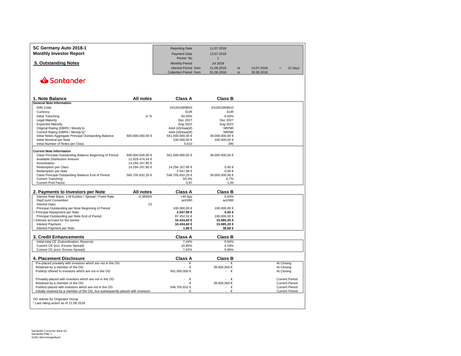<span id="page-7-0"></span>

| SC Germany Auto 2018-1<br><b>Monthly Investor Report</b>                           |                  | <b>Reporting Date</b><br><b>Payment Date</b>   | 11.07.2018<br>13.07.2018   |          |                          |            |                       |
|------------------------------------------------------------------------------------|------------------|------------------------------------------------|----------------------------|----------|--------------------------|------------|-----------------------|
|                                                                                    |                  | Period No                                      | $\mathbf{1}$               |          |                          |            |                       |
| 5. Outstanding Notes                                                               |                  | <b>Monthly Period</b>                          | <b>Jul 2018</b>            |          |                          |            |                       |
|                                                                                    |                  | Interest Period from<br>Collection Period from | 21.06.2018<br>01.06.2018   | to<br>to | 13.07.2018<br>30.06.2018 |            | 22 days               |
| Santander                                                                          |                  |                                                |                            |          |                          |            |                       |
|                                                                                    |                  |                                                |                            |          |                          |            |                       |
|                                                                                    |                  |                                                |                            |          |                          |            |                       |
| 1. Note Balance                                                                    | All notes        | <b>Class A</b>                                 | <b>Class B</b>             |          |                          |            |                       |
| <b>General Note Information</b><br><b>ISIN Code</b>                                |                  | XS1831869653                                   | XS1831869810               |          |                          |            |                       |
| Currency                                                                           |                  | <b>EUR</b>                                     | <b>EUR</b>                 |          |                          |            |                       |
| Initial Tranching                                                                  | in $%$           | 93.50%                                         | 6.50%                      |          |                          |            |                       |
| <b>Legal Maturity</b>                                                              |                  | Dec 2027                                       | Dec 2027                   |          |                          |            |                       |
| <b>Expected Maturity</b>                                                           |                  | Aug 2022                                       | Aug 2022                   |          |                          |            |                       |
| Original Rating (DBRS / Moody's)                                                   |                  | AAA (sf)/Aaa(sf)                               | NR/NR                      |          |                          |            |                       |
| Current Rating (DBRS / Moody's)*                                                   |                  | AAA (sf)/Aaa(sf)                               | NR/NR                      |          |                          |            |                       |
| Initial Notes Aggregate Principal Outstanding Balance                              | 600.000.000,00 € | 561.000.000,00 €                               | 39.000.000,00 €            |          |                          |            |                       |
| Initial Nominal per Note                                                           |                  | 100.000,00 €                                   | 100.000,00 €               |          |                          |            |                       |
| Initial Number of Notes per Class                                                  |                  | 5.610                                          | 390                        |          |                          |            |                       |
| <b>Current Note Information</b>                                                    |                  |                                                |                            |          |                          |            |                       |
| Class Principal Outstanding Balance Beginning of Period                            | 600.000.000,00 € | 561.000.000,00 €                               | 39.000.000,00 €            |          |                          |            |                       |
| Available Distribution Amount                                                      | 21.929.474,43 €  |                                                |                            |          |                          |            |                       |
| Amortisation                                                                       | 14.294.167,80 €  |                                                |                            |          |                          |            |                       |
| <b>Redemption per Class</b>                                                        | 14.294.167,80 €  | 14.294.167,80 €                                | $0,00 \in$                 |          |                          |            |                       |
| Redemption per Note                                                                |                  | 2.547,98 €                                     | $0,00 \in$                 |          |                          |            |                       |
| Class Principal Outstanding Balance End of Period                                  | 585.705.832,20 € | 546.705.832,20 €                               | 39.000.000,00 €            |          |                          |            |                       |
| <b>Current Tranching</b><br>Current Pool Factor                                    |                  | 93,3%<br>0,97                                  | 6,7%<br>1,00               |          |                          |            |                       |
|                                                                                    |                  |                                                |                            |          |                          |            |                       |
| 2. Payments to Investors per Note                                                  | All notes        | <b>Class A</b>                                 | <b>Class B</b>             |          |                          |            |                       |
| Interest Rate Basis: 1-M Euribor / Spread / Fixed Rate                             | $-0.3695%$       | $+40$ bps                                      | 0.63%                      |          |                          |            |                       |
| DayCount Convention                                                                |                  | act/360                                        | act/360                    |          |                          |            |                       |
| <b>Interest Days</b>                                                               | 22               |                                                |                            |          |                          |            |                       |
| Principal Outstanding per Note Beginning of Period<br>Principal Repayment per Note |                  | 100.000,00 €<br>2.547.98 €                     | 100.000,00 €<br>$0.00 \in$ |          |                          |            |                       |
| Principal Outstanding per Note End of Period                                       |                  | 97.452,02 €                                    | 100.000,00 €               |          |                          |            |                       |
| Interest accrued for the period                                                    |                  | 10.434,60 €                                    | 15.085,20 €                |          |                          |            |                       |
| <b>Interest Payment</b>                                                            |                  | 10.434,60 €                                    | 15.085,20 €                |          |                          |            |                       |
| Interest Payment per Note                                                          |                  | 1.86 €                                         | 38,68 €                    |          |                          |            |                       |
| 3. Credit Enhancements                                                             |                  | <b>Class A</b>                                 | <b>Class B</b>             |          |                          |            |                       |
| Initial total CE (Subordination, Reserve)                                          |                  | 7,44%                                          | 0,94%                      |          |                          |            |                       |
| Current CE (incl. Excess Spread)                                                   |                  | 10,85%                                         | 4,19%                      |          |                          |            |                       |
| Current CE (excl. Excess Spread)                                                   |                  | 7,62%                                          | 0,96%                      |          |                          |            |                       |
| 4. Placement Disclosure                                                            |                  | <b>Class A</b>                                 | <b>Class B</b>             |          |                          |            |                       |
| Pre-placed privately with investors which are not in the OG                        |                  | €                                              | €<br>$\sim$                |          |                          | At Closing |                       |
| Retained by a member of the OG                                                     |                  | €                                              | 39.000.000 €               |          |                          | At Closing |                       |
| Publicly offered to investors which are not in the OG                              |                  | 561.000.000 €                                  | - €                        |          |                          | At Closing |                       |
| Privately-placed with investors which are not in the OG                            |                  | €                                              | €<br>$\sim$                |          |                          |            | <b>Current Period</b> |
| Retained by a member of the OG                                                     |                  | €                                              | 39.000.000 €               |          |                          |            | <b>Current Period</b> |
| Publicly-placed with investors which are not in the OG                             |                  | 546.705.832 €                                  | €<br>$\sim 10$             |          |                          |            | <b>Current Period</b> |
| Initially retained by a member of the OG, but subsequently placed with investors   |                  | €<br>$\sim$                                    | €<br>×.                    |          |                          |            | <b>Current Period</b> |
|                                                                                    |                  |                                                |                            |          |                          |            |                       |
| OG stands for Originator Group<br>* Last rating action as of 21.06.2018            |                  |                                                |                            |          |                          |            |                       |

Santander Consumer Bank AG Santander-Platz 1 41061 Mönchengladbach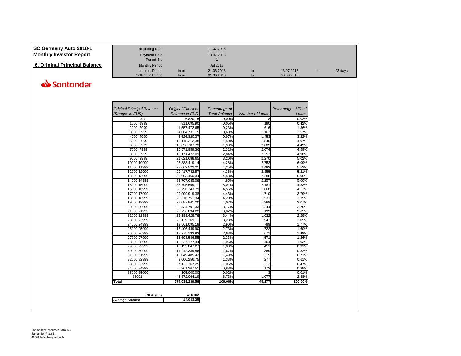<span id="page-8-0"></span>

| SC Germany Auto 2018-1         | <b>Reporting Date</b>    |      | 11.07.2018 |    |            |     |         |
|--------------------------------|--------------------------|------|------------|----|------------|-----|---------|
| <b>Monthly Investor Report</b> | <b>Payment Date</b>      |      | 13.07.2018 |    |            |     |         |
|                                | Period No                |      |            |    |            |     |         |
| 6. Original Principal Balance  | <b>Monthly Period</b>    |      | Jul 2018   |    |            |     |         |
|                                | <b>Interest Period</b>   | from | 21.06.2018 | to | 13.07.2018 | $=$ | 22 days |
|                                | <b>Collection Period</b> | from | 01.06.2018 | to | 30.06.2018 |     |         |

| <b>Original Principal Balance</b> | <b>Original Principal</b> | Percentage of        |                        | Percentage of Total |
|-----------------------------------|---------------------------|----------------------|------------------------|---------------------|
| (Ranges in EUR)                   | <b>Balance in EUR</b>     | <b>Total Balance</b> | <b>Number of Loans</b> | Loans               |
| 0:999                             | 6.820,15                  | 0,00%                | 8                      | 0,02%               |
| 1000: 1999                        | 311.695,90                | 0,05%                | 190                    | 0,42%               |
| 2000: 2999                        | 1.557.472,65              | 0,23%                | 616                    | 1,36%               |
| 3000: 3999                        | 4.064.731,15              | 0,60%                | 1.162                  | 2,57%               |
| 4000: 4999                        | 6.526.820,37              | 0,97%                | 1.453                  | 3,22%               |
| 5000: 5999                        | 10.115.212,38             | 1,50%                | 1.840                  | 4,07%               |
| 6000: 6999                        | 13.026.787.73             | 1.93%                | 2.002                  | 4,43%               |
| 7000: 7999                        | 15.571.959.36             | 2.31%                | 2.074                  | 4.59%               |
| 8000: 8999                        | 19.171.472,09             | 2,84%                | 2.252                  | 4,98%               |
| 9000: 9999                        | 21.621.688,65             | 3.20%                | 2.270                  | 5.02%               |
| 10000:10999                       | 28.888.419,14             | 4,28%                | 2.752                  | 6,09%               |
| 11000:11999                       | 28.662.522,21             | 4,25%                | 2.493                  | 5,52%               |
| 12000:12999                       | 29.417.742,57             | 4,36%                | 2.355                  | 5,21%               |
| 13000:13999                       | 30.903.460,34             | 4,58%                | 2.288                  | 5,06%               |
| 14000:14999                       | 32.707.635,08             | 4,85%                | 2.257                  | 5.00%               |
| 15000:15999                       | 33.795.699.71             | 5,01%                | 2.181                  | 4.83%               |
| 16000:16999                       | 30.796.243,79             | 4,56%                | 1.868                  | 4,13%               |
| 17000:17999                       | 29.909.919,38             | 4,43%                | 1.710                  | 3,79%               |
| 18000:18999                       | 28.316.751,34             | 4.20%                | 1.531                  | 3.39%               |
| 19000:19999                       | 27.087.841,20             | 4,02%                | 1.389                  | 3.07%               |
| 20000:20999                       | 25.434.791,33             | 3,77%                | 1.244                  | 2,75%               |
| 21000:21999                       | 25.756.834,22             | 3,82%                | 1.199                  | 2,65%               |
| 22000:22999                       | 23.199.428,78             | 3,44%                | 1.032                  | 2,28%               |
| 23000:23999                       | 22.129.269,11             | 3,28%                | 942                    | 2,09%               |
| 24000:24999                       | 19.561.095,18             | 2.90%                | 799                    | 1.77%               |
| 25000:25999                       | 18.406.449,90             | 2,73%                | 722                    | 1,60%               |
| 26000:26999                       | 17.775.133,93             | 2,63%                | 671                    | 1,49%               |
| 27000:27999                       | 15.698.536,55             | 2,33%                | 571                    | 1.26%               |
| 28000:28999                       | 13.227.177,44             | 1,96%                | 464                    | 1.03%               |
| 29000:29999                       | 12.125.847,27             | 1,80%                | 411                    | 0,91%               |
| 30000:30999                       | 11.242.339,56             | 1,67%                | 369                    | 0,82%               |
| 31000:31999                       | 10.049.485,42             | 1,49%                | 319                    | 0,71%               |
| 32000:32999                       | 9.000.256,75              | 1,33%                | 277                    | 0,61%               |
| 33000:33999                       | 7.133.367,25              | 1,06%                | 213                    | 0,47%               |
| 34000:34999                       | 5.961.267,51              | 0,88%                | 173                    | 0,38%               |
| 35000:35000                       | 105.000,00                | 0,02%                | 3                      | 0,01%               |
| 35001:                            | 45.372.064,19             | 6,73%                | 1.077                  | 2.38%               |
| Total                             | 674.639.239,58            | 100,00%              | 45.177                 | 100,00%             |

|                | <b>Statistics</b> | in EUR    |
|----------------|-------------------|-----------|
| Average Amount |                   | 14.933.25 |
|                |                   |           |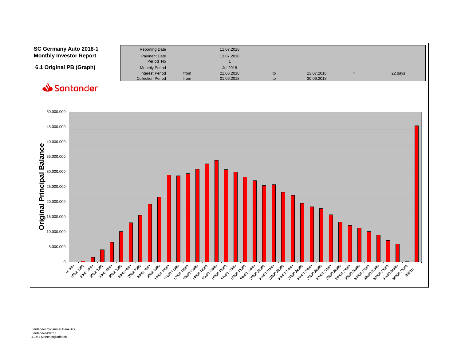<span id="page-9-0"></span>

| SC Germany Auto 2018-1<br><b>Monthly Investor Report</b> | <b>Reporting Date</b><br><b>Payment Date</b><br>Period No                   |              | 11.07.2018<br>13.07.2018                    |          |                          |         |
|----------------------------------------------------------|-----------------------------------------------------------------------------|--------------|---------------------------------------------|----------|--------------------------|---------|
| 6.1 Original PB (Graph)                                  | <b>Monthly Period</b><br><b>Interest Period</b><br><b>Collection Period</b> | from<br>from | <b>Jul 2018</b><br>21.06.2018<br>01.06.2018 | to<br>to | 13.07.2018<br>30.06.2018 | 22 days |

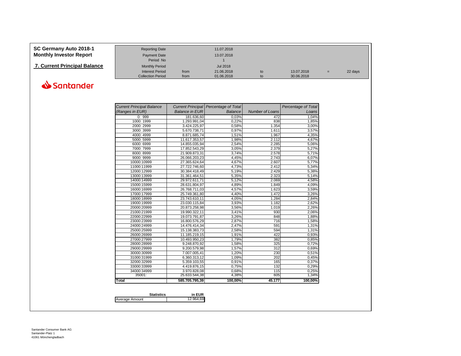<span id="page-10-0"></span>

| SC Germany Auto 2018-1<br><b>Monthly Investor Report</b> | <b>Reporting Date</b><br>Payment Date<br>Period No |      | 11.07.2018<br>13.07.2018 |    |            |     |         |
|----------------------------------------------------------|----------------------------------------------------|------|--------------------------|----|------------|-----|---------|
| <b>7. Current Principal Balance</b>                      | <b>Monthly Period</b>                              |      | Jul 2018                 |    |            |     |         |
|                                                          | Interest Period                                    | from | 21.06.2018               | to | 13.07.2018 | $=$ | 22 days |
|                                                          | <b>Collection Period</b>                           | from | 01.06.2018               | to | 30.06.2018 |     |         |

| <b>Current Principal Balance</b> |                       | Current Principal   Percentage of Total |                        | Percentage of Total |
|----------------------------------|-----------------------|-----------------------------------------|------------------------|---------------------|
| (Ranges in EUR)                  | <b>Balance in EUR</b> | Balance                                 | <b>Number of Loans</b> | Loans               |
| 0:999                            | 181.636,60            | 0,03%                                   | 472                    | 1,04%               |
| 1000: 1999                       | 1.293.991,04          | 0,22%                                   | 838                    | 1,85%               |
| 2000: 2999                       | 3.424.225,97          | 0,58%                                   | 1.354                  | 3,00%               |
| 3000: 3999                       | 5.670.738,71          | 0.97%                                   | 1.611                  | 3,57%               |
| 4000: 4999                       | 8.871.685,74          | 1,51%                                   | 1.967                  | 4,35%               |
| 5000: 5999                       | 11.617.353,57         | 1,98%                                   | 2.112                  | 4,67%               |
| 6000: 6999                       | 14.855.035,94         | 2,54%                                   | 2.285                  | 5,06%               |
| 7000: 7999                       | 17.852.543,29         | 3,05%                                   | 2.379                  | 5,27%               |
| 8000: 8999                       | 21.909.873,31         | 3,74%                                   | 2.578                  | 5,71%               |
| 9000: 9999                       | 26.066.203,23         | 4,45%                                   | 2.743                  | 6,07%               |
| 10000:10999                      | 27.365.624,64         | 4,67%                                   | 2.607                  | 5,77%               |
| 11000:11999                      | 27.722.746,60         | 4,73%                                   | 2.412                  | 5,34%               |
| 12000:12999                      | 30.384.418,49         | 5,19%                                   | 2.429                  | 5,38%               |
| 13000:13999                      | 31.361.464.51         | 5,35%                                   | 2.323                  | 5,14%               |
| 14000:14999                      | 29.972.611,71         | 5,12%                                   | 2.069                  | 4,58%               |
| 15000:15999                      | 28.631.804,97         | 4,89%                                   | 1.849                  | 4,09%               |
| 16000:16999                      | 26.768.711,03         | 4,57%                                   | 1.623                  | 3,59%               |
| 17000:17999                      | 25.749.361,80         | 4,40%                                   | 1.472                  | 3,26%               |
| 18000:18999                      | 23.743.610,11         | 4,05%                                   | 1.284                  | 2,84%               |
| 19000:19999                      | 23.030.115,84         | 3,93%                                   | 1.182                  | 2,62%               |
| 20000:20999                      | 20.873.258,98         | 3,56%                                   | 1.019                  | 2,26%               |
| 21000:21999                      | 19.990.322,11         | 3,41%                                   | 930                    | 2,06%               |
| 22000:22999                      | 19.073.791,87         | 3,26%                                   | 848                    | 1,88%               |
| 23000:23999                      | 16.800.576,29         | 2,87%                                   | 716                    | 1,58%               |
| 24000:24999                      | 14.476.414,34         | 2,47%                                   | 591                    | 1,31%               |
| 25000:25999                      | 15.138.383,73         | 2,58%                                   | 594                    | 1,31%               |
| 26000:26999                      | 11.185.219,15         | 1,91%                                   | 422                    | 0,93%               |
| 27000:27999                      | 10.493.950,23         | 1,79%                                   | 382                    | 0,85%               |
| 28000:28999                      | 9.248.870.92          | 1,58%                                   | 325                    | 0,72%               |
| 29000:29999                      | 9.200.579,98          | 1,57%                                   | 312                    | 0,69%               |
| 30000:30999                      | 7.007.005,41          | 1,20%                                   | 230                    | 0,51%               |
| 31000:31999                      | 6.360.313,12          | 1,09%                                   | 202                    | 0,45%               |
| 32000:32999                      | 5.359.103,55          | 0,91%                                   | 165                    | 0,37%               |
| 33000:33999                      | 4.419.876,15          | 0.75%                                   | 132                    | 0,29%               |
| 34000:34999                      | 3.970.828,08          | 0,68%                                   | 115                    | 0,25%               |
| 35001:                           | 25.633.544,38         | 4,38%                                   | 605                    | 1,34%               |
| Total                            | 585.705.795,39        | 100,00%                                 | 45.177                 | 100,00%             |

|                | <b>Statistics</b> | in EUR    |
|----------------|-------------------|-----------|
| Average Amount |                   | 12.964.69 |
|                |                   |           |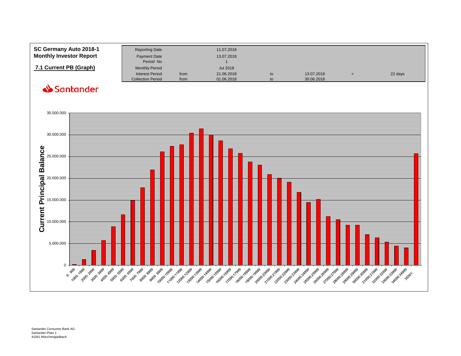<span id="page-11-0"></span>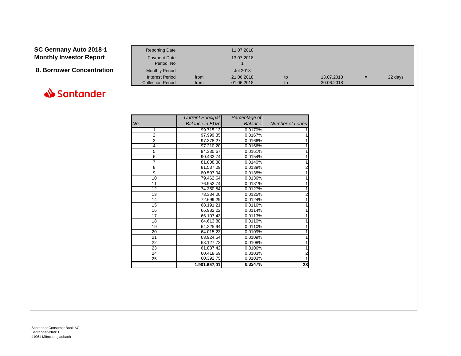### **8. Borrower Concentration**

<span id="page-12-0"></span>

| SC Germany Auto 2018-1         | <b>Reporting Date</b>    |      | 11.07.2018 |    |            |     |         |
|--------------------------------|--------------------------|------|------------|----|------------|-----|---------|
| <b>Monthly Investor Report</b> | <b>Payment Date</b>      |      | 13.07.2018 |    |            |     |         |
|                                | Period No                |      |            |    |            |     |         |
| 8. Borrower Concentration      | <b>Monthly Period</b>    |      | Jul 2018   |    |            |     |         |
|                                | Interest Period          | from | 21.06.2018 | to | 13.07.2018 | $=$ | 22 days |
|                                | <b>Collection Period</b> | from | 01.06.2018 | to | 30.06.2018 |     |         |

|                | <b>Current Principal</b> | Percentage of  |                 |
|----------------|--------------------------|----------------|-----------------|
| <b>No</b>      | <b>Balance in EUR</b>    | <b>Balance</b> | Number of Loans |
| 1              | 99.715,13                | 0,0170%        |                 |
| $\overline{2}$ | 97.999,35                | 0,0167%        |                 |
| $\overline{3}$ | 97.378,27                | 0,0166%        |                 |
| 4              | 97.210,20                | 0,0166%        |                 |
| 5              | 94.330,67                | 0,0161%        |                 |
| 6              | 90.433,74                | 0,0154%        |                 |
| 7              | 81.808,38                | 0,0140%        |                 |
| 8              | 81.537,09                | 0,0139%        | $\overline{2}$  |
| 9              | 80.597,94                | 0,0138%        |                 |
| 10             | 79.462,64                | 0,0136%        |                 |
| 11             | 76.952,74                | 0,0131%        |                 |
| 12             | 74.360,54                | 0,0127%        |                 |
| 13             | 73.334,00                | 0,0125%        | $\overline{2}$  |
| 14             | 72.699,29                | 0,0124%        |                 |
| 15             | 68.191,21                | 0,0116%        |                 |
| 16             | 66.982,22                | 0,0114%        |                 |
| 17             | 66.107,43                | 0,0113%        |                 |
| 18             | 64.613,88                | 0,0110%        |                 |
| 19             | 64.225,94                | 0,0110%        |                 |
| 20             | 64.015,23                | 0,0109%        |                 |
| 21             | 63.924,54                | 0,0109%        |                 |
| 22             | 63.127,72                | 0,0108%        |                 |
| 23             | 61.837,42                | 0,0106%        |                 |
| 24             | 60.418,69                | 0,0103%        | $\overline{2}$  |
| 25             | 60.392,75                | 0,0103%        |                 |
|                | 1.901.657,01             | 0,3247%        | 28              |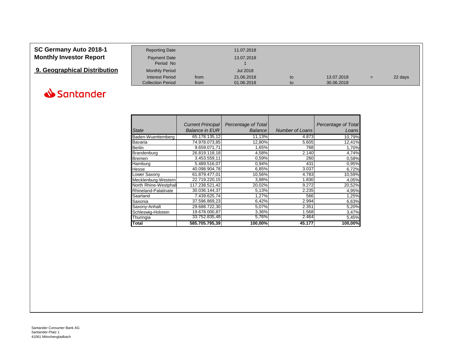# <span id="page-13-0"></span>**9. Geographical Distribution** Monthly Period Jul 2018<br>Interest Period from 21.06.2018

Period No



|                       | <b>Current Principal</b> | Percentage of Total |                        | Percentage of Total |
|-----------------------|--------------------------|---------------------|------------------------|---------------------|
| <b>State</b>          | <b>Balance in EUR</b>    | <b>Balance</b>      | <b>Number of Loans</b> | Loans               |
| Baden-Wuerttemberg    | 65.178.135,12            | 11,13%              | 4.873                  | 10,79%              |
| Bavaria               | 74.978.073.85            | 12,80%              | 5.605                  | 12,41%              |
| Berlin                | 9.659.071,71             | 1,65%               | 768                    | 1,70%               |
| Brandenburg           | 26.819.118,18            | 4,58%               | 2.140                  | 4,74%               |
| Bremen                | 3.453.559,11             | 0,59%               | 260                    | 0,58%               |
| Hamburg               | 5.489.516,07             | 0,94%               | 431                    | 0,95%               |
| Hesse                 | 40.098.904.78            | 6,85%               | 3.037                  | 6,72%               |
| Lower Saxony          | 61.879.477,01            | 10,56%              | 4.783                  | 10,59%              |
| Mecklenburg-Western   | 22.719.220,15            | 3,88%               | 1.830                  | 4,05%               |
| North Rhine-Westphali | 117.238.521.42           | 20,02%              | 9.272                  | 20,52%              |
| Rhineland-Palatinate  | 30.036.144,37            | 5,13%               | 2.235                  | 4,95%               |
| Saarland              | 7.439.625,74             | 1,27%               | 566                    | 1,25%               |
| Saxonia               | 37.596.869,23            | 6,42%               | 2.994                  | 6,63%               |
| Saxony-Anhalt         | 29.688.722,30            | 5,07%               | 2.351                  | 5,20%               |
| Schleswig-Holstein    | 19.678.000.87            | 3,36%               | 1.568                  | 3,47%               |
| Thuringia             | 33.752.835,48            | 5,76%               | 2.464                  | 5,45%               |
| <b>Total</b>          | 585.705.795.39           | 100,00%             | 45.177                 | 100,00%             |

Collection Period from 01.06.2018 to 30.06.2018

Interest Period from 21.06.2018 to 13.07.2018 = 22 days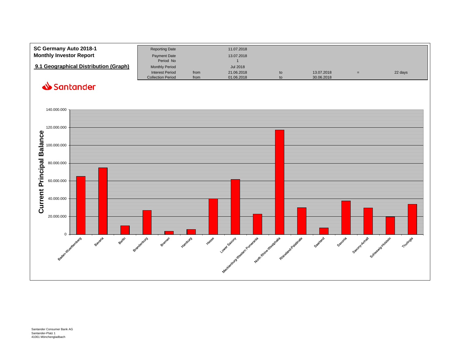<span id="page-14-0"></span>

| SC Germany Auto 2018-1<br><b>Monthly Investor Report</b> | <b>Reporting Date</b><br>Payment Date<br>Period No |      | 11.07.2018<br>13.07.2018 |    |            |     |         |
|----------------------------------------------------------|----------------------------------------------------|------|--------------------------|----|------------|-----|---------|
| 9.1 Geographical Distribution (Graph)                    | <b>Monthly Period</b><br><b>Interest Period</b>    | from | Jul 2018<br>21.06.2018   | to | 13.07.2018 | $=$ | 22 days |
|                                                          | <b>Collection Period</b>                           | from | 01.06.2018               | to | 30.06.2018 |     |         |

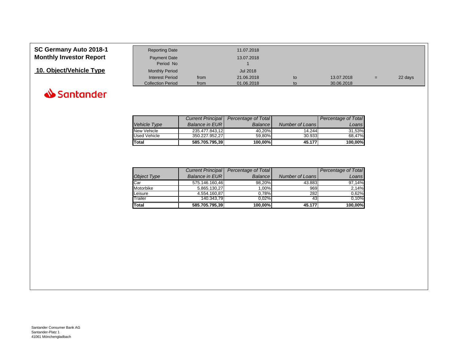

<span id="page-15-0"></span>

| SC Germany Auto 2018-1         | <b>Reporting Date</b>    |      | 11.07.2018 |    |            |     |         |
|--------------------------------|--------------------------|------|------------|----|------------|-----|---------|
| <b>Monthly Investor Report</b> | <b>Payment Date</b>      |      | 13.07.2018 |    |            |     |         |
|                                | Period No                |      |            |    |            |     |         |
| 10. Object/Vehicle Type        | <b>Monthly Period</b>    |      | Jul 2018   |    |            |     |         |
|                                | <b>Interest Period</b>   | from | 21.06.2018 | to | 13.07.2018 | $=$ | 22 days |
|                                | <b>Collection Period</b> | from | 01.06.2018 | to | 30.06.2018 |     |         |

|              |                        | Current Principal   Percentage of Total |                        | Percentage of Total |
|--------------|------------------------|-----------------------------------------|------------------------|---------------------|
| Vehicle Type | <b>Balance in EURI</b> | Balance I                               | <b>Number of Loans</b> | Loans               |
| New Vehicle  | 235.477.843.12         | 40.20%                                  | 14.244                 | 31,53%              |
| Used Vehicle | 350.227.952.27         | 59.80%                                  | 30.933                 | 68.47%              |
| Total        | 585.705.795,39         | 100.00%                                 | 45.177                 | 100,00%             |

|                    | <b>Current Principal</b> | Percentage of Total |                 | Percentage of Total |
|--------------------|--------------------------|---------------------|-----------------|---------------------|
| <b>Object Type</b> | <b>Balance in EURI</b>   | <b>Balance</b>      | Number of Loans | Loans               |
| Car                | 575.146.160,46           | 98,20%              | 43.883          | 97,14%              |
| Motorbike          | 5.865.130,27             | 1.00%               | 969             | 2,14%               |
| Leisure            | 4.554.160.87             | 0.78%               | 282             | 0.62%               |
| Trailer            | 140.343.79               | 0.02%               | 43              | 0.10%               |
| Total              | 585.705.795,39           | 100,00%             | 45.177          | 100,00%             |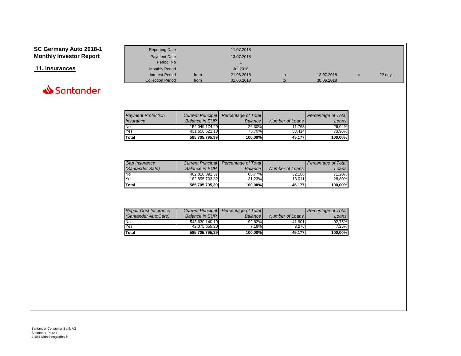### <span id="page-16-0"></span>**SC Germany Auto 2018-1 Monthly Investor Report**



| <b>Monthly Investor Report</b><br>Payment Date<br>13.07.2018                       |  |
|------------------------------------------------------------------------------------|--|
|                                                                                    |  |
| Period No                                                                          |  |
| 11. Insurances<br><b>Jul 2018</b><br><b>Monthly Period</b>                         |  |
| 21.06.2018<br><b>Interest Period</b><br>13.07.2018<br>22 days<br>from<br>to<br>$=$ |  |
| <b>Collection Period</b><br>01.06.2018<br>30.06.2018<br>from<br>to                 |  |

| <b>Payment Protection</b><br>Insurance | <b>Balance in EURI</b> | Current Principal Percentage of Total<br><b>Balance</b> | Number of Loans | Percentage of Total<br>Loans |
|----------------------------------------|------------------------|---------------------------------------------------------|-----------------|------------------------------|
| No                                     | 154.049.174.29         | 26.30%                                                  | 11.763          | 26.04%                       |
| Yes                                    | 431.656.621.10         | 73.70%                                                  | 33.414          | 73.96%                       |
| <b>Total</b>                           | 585.705.795,39         | 100,00%                                                 | 45.177          | 100,00%                      |

| <b>Gap Insurance</b> | <b>Current Principal</b> | Percentage of Total |                 | Percentage of Total |
|----------------------|--------------------------|---------------------|-----------------|---------------------|
| (Santander Safe)     | <b>Balance in EURI</b>   | <b>Balance</b>      | Number of Loans | Loans'              |
| <b>No</b>            | 402.810.091.57           | 68.77%              | 32.166          | 71.20%              |
| Yes                  | 182.895.703.82           | 31.23%              | 13.011          | 28.80%              |
| <b>Total</b>         | 585.705.795.39           | 100.00%             | 45.177          | 100,00%             |

| <b>Repair Cost Insurance</b> | Current Principal      | Percentage of Total |                 | Percentage of Total |
|------------------------------|------------------------|---------------------|-----------------|---------------------|
| (Santander AutoCare)         | <b>Balance in EURI</b> | <b>Balance</b>      | Number of Loans | Loans               |
| <b>No</b>                    | 543.630.140.19         | 92.82%              | 41.901          | 92.75%              |
| Yes                          | 42.075.655.20          | 7.18%               | 3.276           | 7.25%               |
| <b>Total</b>                 | 585.705.795.39         | 100,00%             | 45.177          | 100,00%             |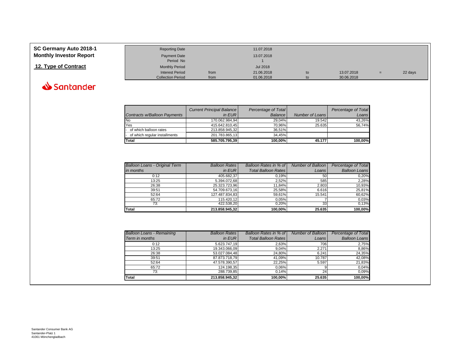<span id="page-17-0"></span>

| SC Germany Auto 2018-1         | <b>Reporting Date</b>    |      | 11.07.2018      |    |            |     |         |
|--------------------------------|--------------------------|------|-----------------|----|------------|-----|---------|
| <b>Monthly Investor Report</b> | Payment Date             |      | 13.07.2018      |    |            |     |         |
|                                | Period No                |      |                 |    |            |     |         |
| 12. Type of Contract           | <b>Monthly Period</b>    |      | <b>Jul 2018</b> |    |            |     |         |
|                                | Interest Period          | from | 21.06.2018      | to | 13.07.2018 | $=$ | 22 days |
|                                | <b>Collection Period</b> | from | 01.06.2018      | to | 30.06.2018 |     |         |



|                                 | <b>Current Principal Balance</b> | Percentage of Total |                 | Percentage of Total |
|---------------------------------|----------------------------------|---------------------|-----------------|---------------------|
| Contracts w/Balloon Payments    | in EUR                           | <b>Balance</b>      | Number of Loans | Loans               |
| No                              | 170.062.984.94                   | 29.04%              | 19.542          | 43.26%              |
| Yes                             | 415.642.810.45                   | 70.96%              | 25.635          | 56.74%              |
| - of which balloon rates        | 213.858.945.32                   | 36.51%              |                 |                     |
| - of which regular installments | 201.783.865,13                   | 34.45%              |                 |                     |
| Total                           | 585.705.795,39                   | 100.00%             | 45.177          | 100.00%             |

| <b>Balloon Loans - Original Term</b> | <b>Balloon Rates</b> | Balloon Rates in % of      | Number of Balloon  | Percentage of Total  |
|--------------------------------------|----------------------|----------------------------|--------------------|----------------------|
| in months                            | in $EUR$             | <b>Total Balloon Rates</b> | Loans <sup>1</sup> | <b>Balloon Loans</b> |
| 0:12                                 | 405.682.37           | 0.19%                      | 50                 | 0.20%                |
| 13:25                                | 5.394.072.68         | 2.52%                      | 585                | 2,28%                |
| 26:38                                | 25.323.723.96        | 11.84%                     | 2.803              | 10,93%               |
| 39:51                                | 54.709.673.16        | 25.58%                     | 6.616              | 25,81%               |
| 52:64                                | 127.487.834,83       | 59.61%                     | 15.541             | 60,62%               |
| 65:72                                | 115.420.12           | 0.05%                      |                    | 0.03%                |
| 73:                                  | 422.538.20           | 0.20%                      | 33                 | 0,13%                |
| <b>Total</b>                         | 213.858.945.32       | 100.00%                    | 25.635             | 100.00%              |

| <b>Balloon Loans - Remaining</b> | <b>Balloon Rates</b> | Balloon Rates in % of      | Number of Balloon | Percentage of Total  |
|----------------------------------|----------------------|----------------------------|-------------------|----------------------|
| Term in months                   | $in$ EUR             | <b>Total Balloon Rates</b> | Loans             | <b>Balloon Loans</b> |
| 0:12                             | 5.623.747,19         | 2,63%                      | 706               | 2,75%                |
| 13:25                            | 19.343.066,09        | 9.04%                      | 2.271             | 8,86%                |
| 26:38                            | 53.027.084.48        | 24,80%                     | 6.241             | 24,35%               |
| 39:51                            | 87.873.718,79        | 41.09%                     | 10.787            | 42,08%               |
| 52:64                            | 47.578.390.57        | 22.25%                     | 5.597             | 21,83%               |
| 65:72                            | 124.198,35           | 0,06%                      |                   | 0,04%                |
| 73:                              | 288.739.85           | 0.14%                      | 24                | 0,09%                |
| Total                            | 213.858.945,32       | 100.00%                    | 25.635            | 100,00%              |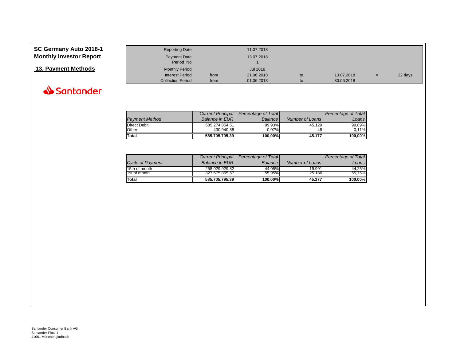### <span id="page-18-0"></span>**13. Payment Methods Monthly Period** Monthly Period Jul 2018



| <b>Interest Period</b>   | from | 21.06.2018 | to | 13.07.2018 | $=$ | 22 days |
|--------------------------|------|------------|----|------------|-----|---------|
| <b>Collection Period</b> | from | 01.06.2018 | to | 30.06.2018 |     |         |
|                          |      |            |    |            |     |         |
|                          |      |            |    |            |     |         |
|                          |      |            |    |            |     |         |
|                          |      |            |    |            |     |         |

|                       | <b>Current Principal</b> | Percentage of Total |                 | Percentage of Total |
|-----------------------|--------------------------|---------------------|-----------------|---------------------|
| <b>Payment Method</b> | <b>Balance in EURI</b>   | <b>Balance</b>      | Number of Loans | Loansl              |
| Direct Debit          | 585.274.854.51           | 99.93%              | 45.129          | 99.89%              |
| Other                 | 430.940.88               | $0.07\%$            | 48              | 0.11%               |
| <b>Total</b>          | 585.705.795.39           | 100.00%             | 45.177          | 100.00%             |

.<br>Period No

|                         |                        | Current Principal Percentage of Total |                        | Percentage of Total |
|-------------------------|------------------------|---------------------------------------|------------------------|---------------------|
| <b>Cycle of Payment</b> | <b>Balance in EURI</b> | <b>Balance</b>                        | <b>Number of Loans</b> | Loans I             |
| 15th of month           | 258.029.929.82         | 44.05%                                | 19.991                 | 44.25%              |
| 1st of month            | 327.675.865.57         | 55.95%                                | 25.186                 | 55.75%              |
| <b>Total</b>            | 585.705.795.39         | 100,00%                               | 45.177                 | 100,00%             |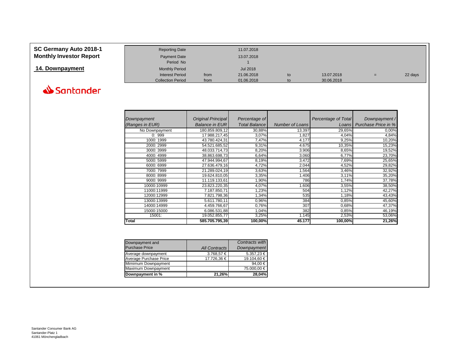**14. Downpayment** Monthly Period Monthly Period Jul 2018<br>Interest Period from 21.06.2018



| Downpayment     | Original Principal    | Percentage of        |                        | <b>Percentage of Total</b> | Downpayment/        |
|-----------------|-----------------------|----------------------|------------------------|----------------------------|---------------------|
| (Ranges in EUR) | <b>Balance in EUR</b> | <b>Total Balance</b> | <b>Number of Loans</b> | Loans                      | Purchase Price in % |
| No Downpayment  | 180.859.809,12        | 30,88%               | 13.397                 | 29,65%                     | 0,00%               |
| 0:999           | 17.988.217,45         | 3,07%                | 1.827                  | 4,04%                      | 4,84%               |
| 1000: 1999      | 43.780.424,31         | 7,47%                | 4.177                  | 9,25%                      | 10,20%              |
| 2000: 2999      | 54.521.685,52         | 9,31%                | 4.675                  | 10,35%                     | 15,23%              |
| 3000: 3999      | 48.033.714,73         | 8,20%                | 3.906                  | 8,65%                      | 19,52%              |
| 4000: 4999      | 38.863.698,73         | 6,64%                | 3.060                  | 6,77%                      | 23,70%              |
| 5000: 5999      | 47.944.994,67         | 8,19%                | 3.472                  | 7,69%                      | 25,65%              |
| 6000: 6999      | 27.636.479,16         | 4,72%                | 2.044                  | 4,52%                      | 29,82%              |
| 7000: 7999      | 21.289.024,19         | 3,63%                | 1.564                  | 3,46%                      | 32,92%              |
| 8000: 8999      | 19.624.810,05         | 3,35%                | 1.406                  | 3,11%                      | 35,20%              |
| 9000: 9999      | 11.119.133,61         | 1,90%                | 786                    | 1,74%                      | 37,78%              |
| 10000:10999     | 23.823.220,35         | 4,07%                | 1.606                  | 3,55%                      | 38,50%              |
| 11000:11999     | 7.187.850,71          | 1,23%                | 504                    | 1,12%                      | 42,27%              |
| 12000:12999     | 7.821.798.36          | 1,34%                | 535                    | 1,18%                      | 43,43%              |
| 13000:13999     | 5.611.780,11          | 0,96%                | 384                    | 0,85%                      | 45,60%              |
| 14000:14999     | 4.459.766,67          | 0,76%                | 307                    | 0,68%                      | 47,37%              |
| 15000:15000     | 6.086.531,88          | 1,04%                | 382                    | 0,85%                      | 46,19%              |
| 15001:          | 19.052.855,77         | 3,25%                | 1.145                  | 2,53%                      | 53,06%              |
| Total           | 585.705.795,39        | 100,00%              | 45.177                 | 100,00%                    | 21,26%              |

Collection Period from 01.06.2018 to 30.06.2018

Interest Period from 21.06.2018 to 13.07.2018 = 22 days

| Downpayment and        |                      | Contracts with     |
|------------------------|----------------------|--------------------|
| <b>Purchase Price</b>  | <b>All Contracts</b> | <b>Downpayment</b> |
| Average downpayment    | 3.768,57 €           | 5.357,23 €         |
| Average Purchase Price | 17.726,36 €          | 19.104,60 €        |
| Mimimum Downpayment    |                      | 94,00 €            |
| Maximum Downpayment    |                      | 75.000,00 €        |
| Downpayment in %       | 21,26%               | 28,04%             |

Period No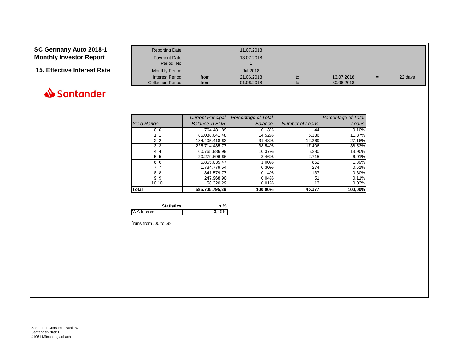

|                    | <b>Current Principal</b> | Percentage of Total |                        | Percentage of Total |
|--------------------|--------------------------|---------------------|------------------------|---------------------|
| <b>Yield Range</b> | <b>Balance in EUR</b>    | <b>Balance</b>      | <b>Number of Loans</b> | Loans               |
| 0:0                | 764.481,89               | 0,13%               | 44                     | 0,10%               |
| 1:1                | 85.038.041,48            | 14,52%              | 5.136                  | 11,37%              |
| 2:2                | 184.405.418,63           | 31,48%              | 12.269                 | 27,16%              |
| 3:3                | 225.714.485,77           | 38,54%              | 17.406                 | 38,53%              |
| 4:4                | 60.765.986,99            | 10,37%              | 6.280                  | 13,90%              |
| 5:5                | 20.279.696,66            | 3,46%               | 2.715                  | 6,01%               |
| 6:6                | 5.855.035,47             | 1,00%               | 852                    | 1,89%               |
| 7:7                | 1.734.779,54             | 0,30%               | 274                    | 0,61%               |
| 8:8                | 841.579,77               | 0,14%               | 137                    | 0,30%               |
| 9:9                | 247.968,90               | 0,04%               | 51                     | 0,11%               |
| 10:10              | 58.320,29                | 0.01%               | 13 <sup>l</sup>        | 0,03%               |
| <b>Total</b>       | 585.705.795,39           | 100,00%             | 45.177                 | 100,00%             |

Collection Period from 01.06.2018 to 30.06.2018

Interest Period from 21.06.2018 to 13.07.2018 = 22 days

| <b>Statistics</b>  | in %  |
|--------------------|-------|
| <b>WA Interest</b> | 3.45% |

Period No

**15. Interest Period** 11. Effective Interest Period 12018<br> **15. Effective Interest Period** 1.06.2018

\* runs from .00 to .99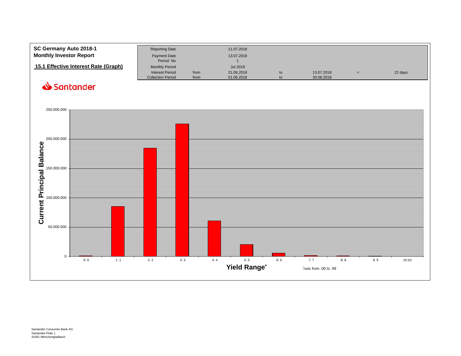| SC Germany Auto 2018-1<br><b>Monthly Investor Report</b> | <b>Reporting Date</b><br>Payment Date<br>Period No |      | 11.07.2018<br>13.07.2018      |    |            |   |         |
|----------------------------------------------------------|----------------------------------------------------|------|-------------------------------|----|------------|---|---------|
| 15.1 Effective Interest Rate (Graph)                     | <b>Monthly Period</b><br><b>Interest Period</b>    | from | <b>Jul 2018</b><br>21.06.2018 | to | 13.07.2018 | = | 22 days |
|                                                          | <b>Collection Period</b>                           | from | 01.06.2018                    | to | 30.06.2018 |   |         |

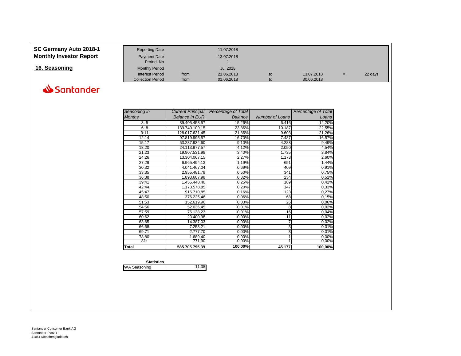<span id="page-22-0"></span>

| SC Germany Auto 2018-1<br><b>Monthly Investor Report</b> | <b>Reporting Date</b><br><b>Payment Date</b><br>Period No |      | 11.07.2018<br>13.07.2018 |    |            |     |         |
|----------------------------------------------------------|-----------------------------------------------------------|------|--------------------------|----|------------|-----|---------|
| 16. Seasoning                                            | <b>Monthly Period</b>                                     |      | Jul 2018                 |    |            |     |         |
|                                                          | Interest Period                                           | from | 21.06.2018               | to | 13.07.2018 | $=$ | 22 days |
|                                                          | <b>Collection Period</b>                                  | from | 01.06.2018               | to | 30.06.2018 |     |         |



| Seasoning in  | <b>Current Principal</b> | Percentage of Total |                        | <b>Percentage of Total</b> |
|---------------|--------------------------|---------------------|------------------------|----------------------------|
| <b>Months</b> | <b>Balance in EUR</b>    | Balance             | <b>Number of Loans</b> | Loans                      |
| 3:5           | 89.405.458,57            | 15,26%              | 6.416                  | 14,20%                     |
| 6:8           | 139.740.109,15           | 23,86%              | 10.187                 | 22,55%                     |
| 9:11          | 128.017.631,45           | 21,86%              | 9.603                  | 21,26%                     |
| 12:14         | 97.819.995,57            | 16,70%              | 7.487                  | 16,57%                     |
| 15:17         | 53.287.934,60            | 9,10%               | 4.288                  | 9,49%                      |
| 18:20         | 24.113.977,57            | 4,12%               | 2.050                  | 4,54%                      |
| 21:23         | 19.907.531,98            | 3,40%               | 1.735                  | 3,84%                      |
| 24:26         | 13.304.067,15            | 2,27%               | 1.173                  | 2,60%                      |
| 27:29         | 6.965.494,13             | 1,19%               | 651                    | 1,44%                      |
| 30:32         | 4.041.467,04             | 0,69%               | 409                    | 0,91%                      |
| 33:35         | 2.955.481,78             | 0,50%               | 341                    | 0,75%                      |
| 36:38         | 1.893.607,98             | 0,32%               | 234                    | 0,52%                      |
| 39:41         | 1.455.448,40             | 0,25%               | 189                    | 0,42%                      |
| 42:44         | 1.173.578,85             | 0,20%               | 147                    | 0,33%                      |
| 45:47         | 916.710,85               | 0,16%               | 123                    | 0,27%                      |
| 48:50         | 376.225,46               | 0,06%               | 68                     | 0,15%                      |
| 51:53         | 152.619,96               | 0,03%               | 26                     | 0,06%                      |
| 54:56         | 52.036,45                | 0,01%               | 8                      | 0,02%                      |
| 57:59         | 76.138,23                | 0,01%               | 16                     | 0,04%                      |
| 60:62         | 23.400,98                | 0,00%               | 11                     | 0,02%                      |
| 63:65         | 14.387,03                | 0,00%               | 7                      | 0,02%                      |
| 66:68         | 7.253,21                 | 0,00%               | 3                      | 0,01%                      |
| 69:71         | 2.777,70                 | 0,00%               | 3                      | 0,01%                      |
| 78:80         | 1.689,40                 | 0,00%               |                        | 0,00%                      |
| 81:           | 771,90                   | 0,00%               |                        | 0,00%                      |
| Total         | 585.705.795,39           | 100,00%             | 45.177                 | 100,00%                    |

| <b>Statistics</b>   |        |
|---------------------|--------|
| <b>WA Seasoning</b> | 11.381 |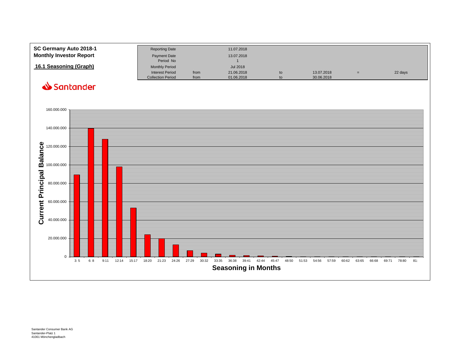<span id="page-23-0"></span>

| SC Germany Auto 2018-1<br><b>Monthly Investor Report</b> | <b>Reporting Date</b><br><b>Payment Date</b><br>Period No |              | 11.07.2018<br>13.07.2018 |          |                          |     |         |
|----------------------------------------------------------|-----------------------------------------------------------|--------------|--------------------------|----------|--------------------------|-----|---------|
| 16.1 Seasoning (Graph)                                   | <b>Monthly Period</b>                                     |              | <b>Jul 2018</b>          |          |                          |     |         |
|                                                          | <b>Interest Period</b><br><b>Collection Period</b>        | from<br>from | 21.06.2018<br>01.06.2018 | to<br>to | 13.07.2018<br>30.06.2018 | $=$ | 22 days |

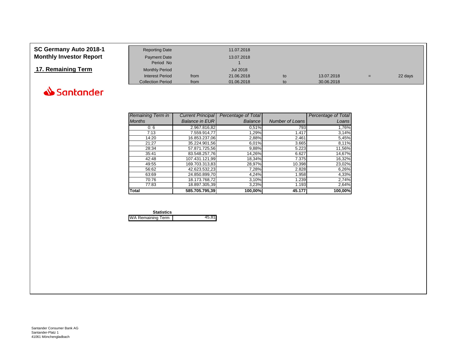#### <span id="page-24-0"></span>**SC Germany Auto 2018-1 Monthly Investor Report**

### **17. Remaining Term**



| <b>Reporting Date</b>    |      | 11.07.2018 |    |            |     |         |
|--------------------------|------|------------|----|------------|-----|---------|
| Payment Date             |      | 13.07.2018 |    |            |     |         |
| Period No                |      |            |    |            |     |         |
| <b>Monthly Period</b>    |      | Jul 2018   |    |            |     |         |
| <b>Interest Period</b>   | from | 21.06.2018 | to | 13.07.2018 | $=$ | 22 days |
| <b>Collection Period</b> | from | 01.06.2018 | to | 30.06.2018 |     |         |

| <b>Remaining Term in</b> | <b>Current Principal</b> | Percentage of Total |                 | Percentage of Total |
|--------------------------|--------------------------|---------------------|-----------------|---------------------|
| <b>Months</b>            | <b>Balance in EUR</b>    | <b>Balance</b>      | Number of Loans | Loans               |
| 0:6                      | 2.967.816.82             | 0,51%               | 793             | 1,76%               |
| 7:13                     | 7.559.914.77             | 1,29%               | 1.417           | 3,14%               |
| 14:20                    | 16.853.237.06            | 2,88%               | 2.461           | 5,45%               |
| 21:27                    | 35.224.901.56            | 6,01%               | 3.665           | 8,11%               |
| 28:34                    | 57.871.725.56            | 9,88%               | 5.223           | 11,56%              |
| 35:41                    | 83.548.257.76            | 14,26%              | 6.627           | 14,67%              |
| 42:48                    | 107.431.121.99           | 18,34%              | 7.375           | 16,32%              |
| 49:55                    | 169.703.313,83           | 28,97%              | 10.398          | 23,02%              |
| 56:62                    | 42.623.532,23            | 7,28%               | 2.828           | 6,26%               |
| 63:69                    | 24.850.899.70            | 4,24%               | 1.958           | 4,33%               |
| 70:76                    | 18.173.768.72            | 3,10%               | 1.239           | 2,74%               |
| 77:83                    | 18.897.305,39            | 3,23%               | 1.193           | 2,64%               |
| <b>Total</b>             | 585.705.795.39           | 100,00%             | 45.177          | 100.00%             |

| <b>Statistics</b>        |       |
|--------------------------|-------|
| <b>WA Remaining Term</b> | 45,81 |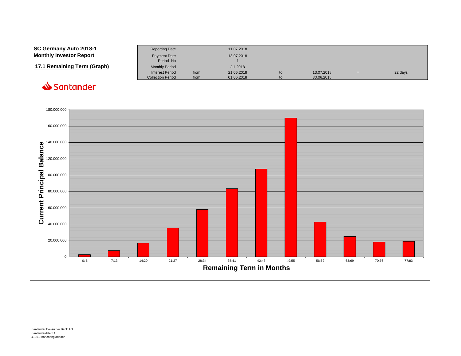<span id="page-25-0"></span>

| SC Germany Auto 2018-1         | <b>Reporting Date</b>    |      | 11.07.2018 |    |            |     |         |
|--------------------------------|--------------------------|------|------------|----|------------|-----|---------|
| <b>Monthly Investor Report</b> | <b>Payment Date</b>      |      | 13.07.2018 |    |            |     |         |
|                                | Period No                |      |            |    |            |     |         |
| 17.1 Remaining Term (Graph)    | <b>Monthly Period</b>    |      | Jul 2018   |    |            |     |         |
|                                | <b>Interest Period</b>   | from | 21.06.2018 | to | 13.07.2018 | $=$ | 22 days |
|                                | <b>Collection Period</b> | from | 01.06.2018 | to | 30.06.2018 |     |         |

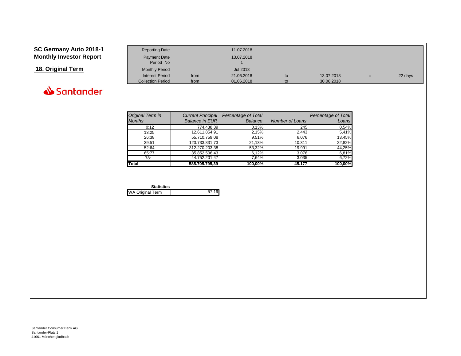#### <span id="page-26-0"></span>**SC Germany Auto 2018-1 Monthly Investor Report**

|  |  | 18. Original Term |
|--|--|-------------------|
|--|--|-------------------|



| SC Germany Auto 2018-1         | <b>Reporting Date</b>    |      | 11.07.2018      |    |            |     |         |
|--------------------------------|--------------------------|------|-----------------|----|------------|-----|---------|
| <b>Monthly Investor Report</b> | <b>Payment Date</b>      |      | 13.07.2018      |    |            |     |         |
|                                | Period No                |      |                 |    |            |     |         |
| 18. Original Term              | <b>Monthly Period</b>    |      | <b>Jul 2018</b> |    |            |     |         |
|                                | <b>Interest Period</b>   | from | 21.06.2018      | to | 13.07.2018 | $=$ | 22 days |
|                                | <b>Collection Period</b> | from | 01.06.2018      | to | 30.06.2018 |     |         |

| Original Term in | <b>Current Principal</b> | Percentage of Total |                 | Percentage of Total |
|------------------|--------------------------|---------------------|-----------------|---------------------|
| <b>Months</b>    | <b>Balance in EUR</b>    | Balance             | Number of Loans | Loans               |
| 0:12             | 774.438,39               | 0,13%               | 245             | 0,54%               |
| 13:25            | 12.611.854,91            | 2,15%               | 2.443           | 5,41%               |
| 26:38            | 55.710.759,08            | 9.51%               | 6.076           | 13,45%              |
| 39:51            | 123.733.831,73           | 21,13%              | 10.311          | 22,82%              |
| 52:64            | 312.270.203,38           | 53,32%              | 19.991          | 44,25%              |
| 65:77            | 35.852.506,43            | 6,12%               | 3.076           | 6,81%               |
| 78:              | 44.752.201.47            | 7,64%               | 3.035           | 6,72%               |
| Total            | 585.705.795.39           | 100.00%             | 45.177          | 100.00%             |

| <b>Statistics</b>       |  |
|-------------------------|--|
| <b>WA Original Term</b> |  |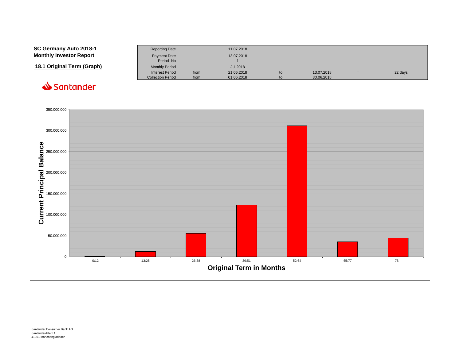<span id="page-27-0"></span>

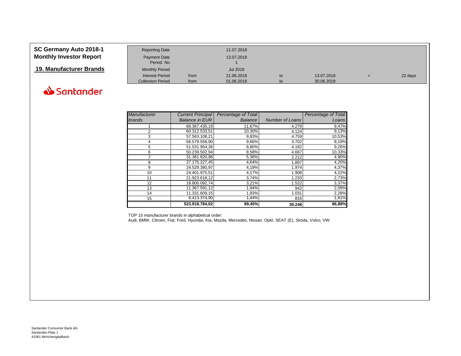#### **SC Germany Auto 2018-1 Monthly Investor Report**

**19. Manufacturer Brands** 

| <b>Reporting Date</b>     |      | 11.07.2018 |    |            |     |         |
|---------------------------|------|------------|----|------------|-----|---------|
| Payment Date<br>Period No |      | 13.07.2018 |    |            |     |         |
| <b>Monthly Period</b>     |      | Jul 2018   |    |            |     |         |
| <b>Interest Period</b>    | from | 21.06.2018 | to | 13.07.2018 | $=$ | 22 days |
| <b>Collection Period</b>  | from | 01.06.2018 | to | 30.06.2018 |     |         |



| Manufacturer   | <b>Current Principal</b> | Percentage of Total |                        | Percentage of Total |
|----------------|--------------------------|---------------------|------------------------|---------------------|
| brands         | <b>Balance in EUR</b>    | <b>Balance</b>      | <b>Number of Loans</b> | Loans               |
|                | 68.367.435.18            | 11,67%              | 4.279                  | 9,47%               |
| $\overline{2}$ | 60.312.533,51            | 10,30%              | 4.124                  | 9,13%               |
| 3              | 57.563.108,21            | 9,83%               | 4.759                  | 10,53%              |
| 4              | 56.579.558,90            | 9,66%               | 3.702                  | 8,19%               |
| 5              | 51.531.954.36            | 8,80%               | 4.182                  | 9,26%               |
| 6              | 50.239.502,94            | 8,58%               | 4.667                  | 10,33%              |
| 7              | 31.381.820.96            | 5,36%               | 2.212                  | 4,90%               |
| 8              | 27.175.227.45            | 4,64%               | 1.897                  | 4,20%               |
| 9              | 24.529.380,97            | 4,19%               | 1.974                  | 4,37%               |
| 10             | 24.401.975,51            | 4,17%               | 1.908                  | 4,22%               |
| 11             | 21.923.618,12            | 3,74%               | 1.233                  | 2,73%               |
| 12             | 18.800.092,74            | 3,21%               | 1.522                  | 3,37%               |
| 13             | 11.367.591,12            | 1,94%               | 942                    | 2,09%               |
| 14             | 11.331.609.15            | 1,93%               | 1.031                  | 2,28%               |
| 15             | 8.413.374,90             | 1,44%               | 816                    | 1,81%               |
|                | 523.918.784,02           | 89,45%              | 39.248                 | 86,88%              |

TOP 15 manufacturer brands in alphabetical order:

Audi, BMW, Citroen, Fiat, Ford, Hyundai, Kia, Mazda, Mercedes, Nissan, Opel, SEAT (E), Skoda, Volvo, VW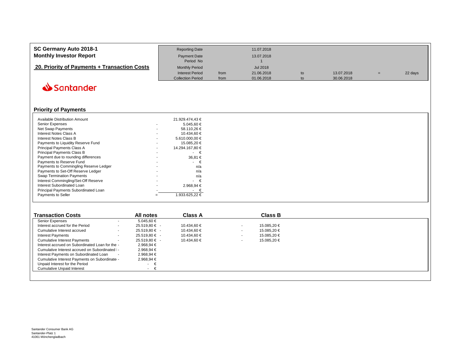<span id="page-29-0"></span>

| SC Germany Auto 2018-1                       | <b>Reporting Date</b>                              |              | 11.07.2018               |          |                          |    |         |
|----------------------------------------------|----------------------------------------------------|--------------|--------------------------|----------|--------------------------|----|---------|
| <b>Monthly Investor Report</b>               | Payment Date<br>Period No                          |              | 13.07.2018               |          |                          |    |         |
| 20. Priority of Payments + Transaction Costs | <b>Monthly Period</b>                              |              | Jul 2018                 |          |                          |    |         |
|                                              | <b>Interest Period</b><br><b>Collection Period</b> | from<br>from | 21.06.2018<br>01.06.2018 | to<br>to | 13.07.2018<br>30.06.2018 | Ξ. | 22 days |

#### **Priority of Payments**

| <b>Available Distribution Amount</b>   | 21.929.474.43 € |
|----------------------------------------|-----------------|
| <b>Senior Expenses</b>                 | 5.045.60 €      |
| <b>Net Swap Payments</b>               | 58.110.26 €     |
| Interest Notes Class A                 | 10.434.60 €     |
| Interest Notes Class B                 | 5.610.000,00 €  |
| Payments to Liquidity Reserve Fund     | 15.085.20 €     |
| Principal Payments Class A             | 14.294.167.80 € |
| Principal Payments Class B             | €               |
| Payment due to rounding differences    | 36,81 €         |
| Payments to Reserve Fund               | €               |
| Payments to Commingling Reserve Ledger | n/a             |
| Payments to Set-Off Reserve Ledger     | n/a             |
| <b>Swap Termination Payments</b>       | n/a             |
| Interest Commingling/Set-Off Reserve   | €               |
| Interest Subordinated Loan             | 2.968,94 €      |
| Principal Payments Subordinated Loan   | €               |
| <b>Payments to Seller</b>              | 1.933.625.22 €  |
|                                        |                 |

| <b>Transaction Costs</b>                        |                          | All notes         | <b>Class A</b> |        | <b>Class B</b> |  |  |
|-------------------------------------------------|--------------------------|-------------------|----------------|--------|----------------|--|--|
| Senior Expenses                                 | $\overline{\phantom{a}}$ | 5.045.60 €        |                |        |                |  |  |
| Interest accrued for the Period                 |                          | $25.519.80 \in -$ | 10.434,60 €    | $\sim$ | 15.085.20 €    |  |  |
| Cumulative Interest accrued                     |                          | $25.519.80 \in$ - | 10.434,60 €    |        | 15.085.20 €    |  |  |
| <b>Interest Payments</b>                        |                          | $25.519.80 \in -$ | 10.434,60 €    |        | 15.085.20 €    |  |  |
| <b>Cumulative Interest Payments</b>             |                          | $25.519.80 \in$ - | 10.434.60 €    | $\sim$ | 15.085,20 €    |  |  |
| Interest accrued on Subordinated Loan for the - |                          | 2.968.94 €        |                |        |                |  |  |
| Cumulative Interest accrued on Subordinated I-  |                          | $2.968.94 \in$    |                |        |                |  |  |
| Interest Payments on Subordinated Loan          | $\sim$                   | $2.968.94 \in$    |                |        |                |  |  |
| Cumulative Interest Payments on Subordinate -   |                          | 2.968,94 €        |                |        |                |  |  |
| Unpaid Interest for the Period                  |                          | - 1               |                |        |                |  |  |
| <b>Cumulative Unpaid Interest</b>               |                          | $\sim$            |                |        |                |  |  |
|                                                 |                          |                   |                |        |                |  |  |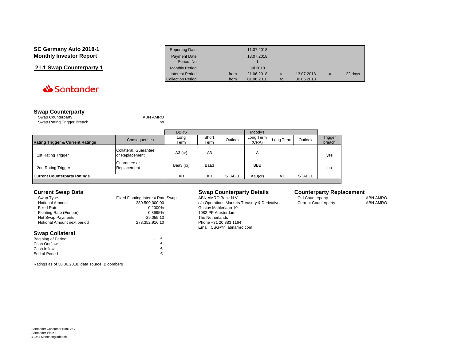<span id="page-30-0"></span>

| SC Germany Auto 2018-1         | <b>Reporting Date</b>                              |              | 11.07.2018               |          |                          |     |         |
|--------------------------------|----------------------------------------------------|--------------|--------------------------|----------|--------------------------|-----|---------|
| <b>Monthly Investor Report</b> | Payment Date<br>Period No                          |              | 13.07.2018               |          |                          |     |         |
| 21.1 Swap Counterparty 1       | <b>Monthly Period</b>                              |              | Jul 2018                 |          |                          |     |         |
|                                | <b>Interest Period</b><br><b>Collection Period</b> | from<br>from | 21.06.2018<br>01.06.2018 | to<br>to | 13.07.2018<br>30.06.2018 | $=$ | 22 days |

| <b>Swap Counterparty</b> |          |
|--------------------------|----------|
| <b>Swap Counterparty</b> | ABN AMRO |

Swap Rating Trigger Breach no metal was a more contact that the contact of the contact of the contact of the contact of the contact of the contact of the contact of the contact of the contact of the contact of the contact

|                                             |                                         | <b>DBRS</b>  |                |               | Moody's            |           |               |                          |
|---------------------------------------------|-----------------------------------------|--------------|----------------|---------------|--------------------|-----------|---------------|--------------------------|
| <b>Rating Trigger &amp; Current Ratings</b> | Consequenses                            | Long<br>Term | Short<br>Term  | Outlook       | Long Term<br>(CRA) | Long Term | Outlook       | <b>Trigger</b><br>breach |
| 1st Rating Trigger                          | Collateral, Guarantee<br>or Replacement | $A3$ (cr)    | A <sub>3</sub> |               | Α                  |           |               | yes                      |
| 2nd Rating Trigger                          | Guarantee or<br>Replacement             | Baa3 (cr)    | Baa3           |               | <b>BBB</b>         |           |               | no                       |
| <b>Current Counterparty Ratings</b>         |                                         | AH           | AH             | <b>STABLE</b> | Aa3(cr)            | A1        | <b>STABLE</b> |                          |

| <b>Current Swap Data</b>                                                                                                                |                                                                                                                   | <b>Swap Counterparty Details</b>                                                                                                                             | <b>Counterparty Replacement</b>                 |                                    |
|-----------------------------------------------------------------------------------------------------------------------------------------|-------------------------------------------------------------------------------------------------------------------|--------------------------------------------------------------------------------------------------------------------------------------------------------------|-------------------------------------------------|------------------------------------|
| Swap Type<br><b>Notional Amount</b><br><b>Fixed Rate</b><br>Floating Rate (Euribor)<br>Net Swap Payments<br>Notional Amount next period | Fixed Floating Interest Rate Swap<br>280.500.000.00<br>$-0.2000\%$<br>$-0.3695\%$<br>-29.055.13<br>273.352.916.10 | ABN AMRO Bank N.V.<br>c/o Operations Markets Treasury & Derivatives<br>Gustav Mahlerlaan 10<br>1082 PP Amsterdam<br>The Netherlands<br>Phone +31 20 383 1164 | Old Counterparty<br><b>Current Counterparty</b> | <b>ABN AMRO</b><br><b>ABN AMRO</b> |
| <b>Swap Collateral</b><br><b>Begining of Period</b><br>Cash Outflow<br>Cash Inflow<br>End of Period                                     | $\cdot \in$<br>$\cdot \in$<br>$\cdot \in$<br>€<br>$\sim$                                                          | Email: CSG@nl.abnamro.com                                                                                                                                    |                                                 |                                    |

Ratings as of 30.06.2018, data source: Bloomberg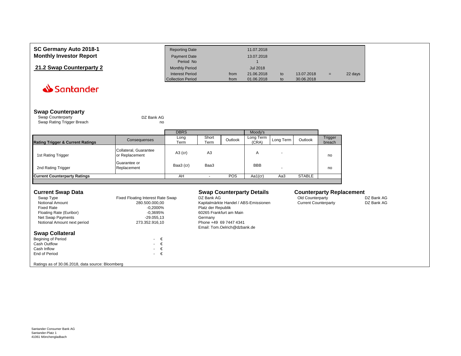<span id="page-31-0"></span>

| SC Germany Auto 2018-1         | <b>Reporting Date</b>                              |              | 11.07.2018               |          |                          |     |         |
|--------------------------------|----------------------------------------------------|--------------|--------------------------|----------|--------------------------|-----|---------|
| <b>Monthly Investor Report</b> | <b>Payment Date</b>                                |              | 13.07.2018               |          |                          |     |         |
|                                | Period No                                          |              |                          |          |                          |     |         |
| 21.2 Swap Counterparty 2       | <b>Monthly Period</b>                              |              | Jul 2018                 |          |                          |     |         |
|                                | <b>Interest Period</b><br><b>Collection Period</b> | from<br>from | 21.06.2018<br>01.06.2018 | to<br>to | 13.07.2018<br>30.06.2018 | $=$ | 22 days |

#### **Swap Counterparty**

| Swap Counterparty          | DZ Bank AG |
|----------------------------|------------|
| Swap Rating Trigger Breach | no         |

|                                             |                                         | <b>DBRS</b>  |                |         | Moody's            |           |               |                   |
|---------------------------------------------|-----------------------------------------|--------------|----------------|---------|--------------------|-----------|---------------|-------------------|
| <b>Rating Trigger &amp; Current Ratings</b> | Consequenses                            | Long<br>Term | Short<br>Term  | Outlook | Long Term<br>(CRA) | Long Term | Outlook       | Trigger<br>breach |
| 1st Rating Trigger                          | Collateral, Guarantee<br>or Replacement | $A3$ (cr)    | A <sub>3</sub> |         | A                  |           |               | no                |
| 2nd Rating Trigger                          | Guarantee or<br>Replacement             | Baa3 (cr)    | Baa3           |         | <b>BBB</b>         |           |               | no                |
| <b>Current Counterparty Ratings</b>         |                                         | AH           |                | POS     | Aa1(cr)            | Aa3       | <b>STABLE</b> |                   |
|                                             |                                         |              |                |         |                    |           |               |                   |

#### **Current Swap Data Similar Counterparty Details Counterparty Replacement**<br>
Swap Type **Counterparty Counterparty Counterparty** DZ Bank AG **Swap Type DI** Bank AG **COUNTER** Swap Type Type Type Fixed Floating Interest Rate Swap DZ Bank AG Counterparty DZ Bank AG Old Counterparty DZ Bank AG<br>Notional Amount 1989 State Accounterparty DZ Bank AG Counterparty DZ Bank AG Counterparty DZ Bank AG Notional Amount 280.500.000,00 Kapitalmärkte Handel / ABS-Emissionen<br>Fixed Rate Counterparty Data Agency Counterparty Data Agency Data Agency Platz der Republik Fixed Platz der Republik<br>Fo.3695% 60265 Frankfurt am Main Floating Rate (Euribor) -0,3695% 60265 Frankfurt am Main Am Main Ann An Aonaic am Main Ann Aonaic Am Main Ann A<br>
-29.055,13 Germany Net Swap Payments<br>
Notional Amount next period<br>
Notional Amount next period<br>
273.352.916,10<br>
273.352.916,10<br>
Phone +49 69 7447 4341 Notional Amount next period Email: Tom.Oelrich@dzbank.de **Swap Collateral** Begining of Period  $\epsilon \in$  Cash Outflow  $\epsilon$ Cash Outflow  $\begin{array}{ccc} \epsilon & \epsilon \\ \epsilon & \epsilon \end{array}$ Cash Inflow  $\epsilon \in$  End of Period  $\epsilon$ End of Period

Ratings as of 30.06.2018, data source: Bloomberg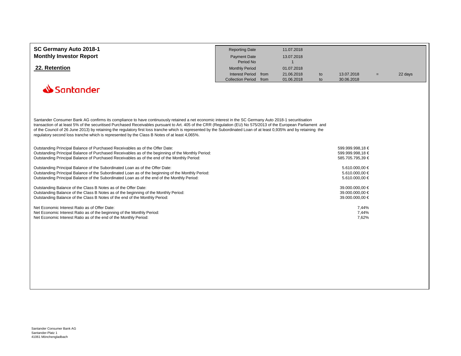<span id="page-32-0"></span>

| SC Germany Auto 2018-1         | <b>Reporting Date</b>  | 11.07.2018 |    |            |     |         |
|--------------------------------|------------------------|------------|----|------------|-----|---------|
| <b>Monthly Investor Report</b> | Payment Date           | 13.07.2018 |    |            |     |         |
|                                | Period No              |            |    |            |     |         |
| 22. Retention                  | <b>Monthly Period</b>  | 01.07.2018 |    |            |     |         |
|                                | Interest Period from   | 21.06.2018 | to | 13.07.2018 | $=$ | 22 days |
|                                | Collection Period from | 01.06.2018 | to | 30.06.2018 |     |         |
| Santander                      |                        |            |    |            |     |         |

Santander Consumer Bank AG confirms its compliance to have continuously retained a net economic interest in the SC Germany Auto 2018-1 securitisation transaction of at least 5% of the securitised Purchased Receivables pursuant to Art. 405 of the CRR (Regulation (EU) No 575/2013 of the European Parliament and of the Council of 26 June 2013) by retaining the regulatory first loss tranche which is represented by the Subordinated Loan of at least 0,935% and by retaining the regulatory second loss tranche which is represented by the Class B Notes of at least 4,065%.

| Outstanding Principal Balance of Purchased Receivables as of the Offer Date:                      | 599.999.998.18 € |
|---------------------------------------------------------------------------------------------------|------------------|
| Outstanding Principal Balance of Purchased Receivables as of the beginning of the Monthly Period: | 599.999.998.18 € |
| Outstanding Principal Balance of Purchased Receivables as of the end of the Monthly Period:       | 585.705.795.39 € |
| Outstanding Principal Balance of the Subordinated Loan as of the Offer Date:                      | 5.610.000.00 €   |
| Outstanding Principal Balance of the Subordinated Loan as of the beginning of the Monthly Period: | 5.610.000.00 €   |
| Outstanding Principal Balance of the Subordinated Loan as of the end of the Monthly Period:       | 5.610.000.00 €   |
| Outstanding Balance of the Class B Notes as of the Offer Date:                                    | 39.000.000.00 €  |
| Outstanding Balance of the Class B Notes as of the beginning of the Monthly Period:               | 39.000.000.00 €  |
| Outstanding Balance of the Class B Notes of the end of the Monthly Period:                        | 39.000.000.00 €  |
| Net Economic Interest Ratio as of Offer Date:                                                     | 7,44%            |
| Net Economic Interest Ratio as of the beginning of the Monthly Period:                            | 7.44%            |
| Net Economic Interest Ratio as of the end of the Monthly Period:                                  | 7.62%            |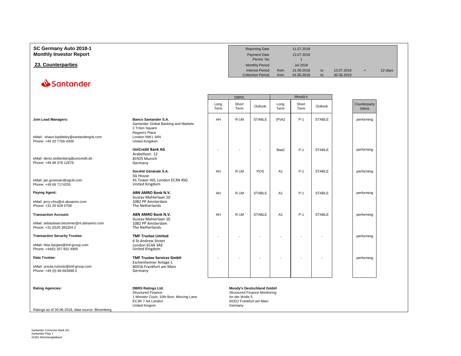<span id="page-33-0"></span>

| SC Germany Auto 2018-1<br><b>Monthly Investor Report</b> |             |  | <b>Reporting Date</b><br>Payment Date<br>Period No |              | 11.07.2018<br>13.07.2018 |          |                          |              |         |
|----------------------------------------------------------|-------------|--|----------------------------------------------------|--------------|--------------------------|----------|--------------------------|--------------|---------|
| 23. Counterparties                                       |             |  | <b>Monthly Period</b>                              |              | Jul 2018                 |          |                          |              |         |
|                                                          |             |  | <b>Interest Period</b><br><b>Collection Period</b> | from<br>from | 21.06.2018<br>01.06.2018 | to<br>to | 13.07.2018<br>30.06.2018 | $=$          | 22 days |
| Santander                                                |             |  |                                                    |              |                          |          |                          |              |         |
|                                                          | <b>DBRS</b> |  |                                                    | Moody's      |                          |          |                          |              |         |
|                                                          |             |  |                                                    |              | Short                    |          |                          | Counterparty |         |

|                                                                                                         |                                                                                                                                                     | 161111 | $1$ end $1$ |                          | $1$ e $111$    | <u>I GIIII</u> |               | sidius     |
|---------------------------------------------------------------------------------------------------------|-----------------------------------------------------------------------------------------------------------------------------------------------------|--------|-------------|--------------------------|----------------|----------------|---------------|------------|
| Join Lead Managers:<br>eMail: shaun.baddeley@santandergcb.com<br>Phone: +44 20 7756 4309                | <b>Banco Santander S.A.</b><br>Santander Global Banking and Markets<br>2 Triton Square<br>Regent's Place<br>London NW1 3AN<br><b>United Kingdom</b> | AH     | $R-1M$      | <b>STABLE</b>            | $(P)$ A2       | $P-1$          | <b>STABLE</b> | performing |
| eMail: deniz.stoltenberg@unicredit.de<br>Phone: +49 89 378 12679                                        | <b>UniCredit Bank AG</b><br>Arabellastr, 12<br>81925 Munich<br>Germany                                                                              |        |             |                          | Baa2           | $P-1$          | <b>STABLE</b> | performing |
| eMail: jan.groesser@sgcib.com<br>Phone: +49 69 7174255                                                  | Société Générale S.A.<br>SG House<br>41 Tower Hill, London EC3N 4SG<br>United Kingdom                                                               | AH     | $R-1M$      | POS                      | A <sub>1</sub> | $P-1$          | <b>STABLE</b> | performing |
| Paying Agent:<br>eMail: jerry.chiu@nl.abnamro.com<br>Phone: +31 20 628 0708                             | ABN AMRO Bank N.V.<br>Gustav Mahlerlaan 10<br>1082 PP Amsterdam<br>The Netherlands                                                                  | AH     | $R-1M$      | <b>STABLE</b>            | A <sub>1</sub> | $P-1$          | <b>STABLE</b> | performing |
| <b>Transaction Account:</b><br>eMail: sebastiaan.bezemer@nl.abnamro.com<br>Phone: +31 (0)20 383204 2    | ABN AMRO Bank N.V.<br>Gustay Mahlerlaan 10<br>1082 PP Amsterdam<br>The Netherlands                                                                  | AH     | $R-1M$      | <b>STABLE</b>            | A <sub>1</sub> | $P-1$          | <b>STABLE</b> | performing |
| <b>Transaction Security Trustee:</b><br>eMail: Nita.Savjani@tmf-group.com<br>Phone: +44(0) 207 832 4900 | <b>TMF Trustee Limited</b><br>6 St Andrew Street<br>London EC4A 3AE<br>United Kingdom                                                               |        |             |                          |                |                |               | performing |
| Data Trustee:<br>eMail: ursula.rutovitz@tmf-group.com<br>Phone: +49 (0) 69 663698 0                     | <b>TMF Trustee Services GmbH</b><br>Eschenheimer Anlage 1<br>60316 Frankfurt am Main<br>Germany                                                     |        |             |                          |                |                |               | performing |
| Dotina Agonoico:                                                                                        | <b>DDDC Dotings Ltd</b>                                                                                                                             |        |             | Moodule Doutcobland CmbU |                |                |               |            |

Rating Agencies:<br>
Moody's Deutschland GmbH<br>
Structured Finance<br>
1 Minister Court, 10th floor, Mincing Lane<br>
EC3R 7 AA London<br>
EC3R 7 AA London<br>
United Kingom (Detroit of G0322 Frankfurt am Main<br>
United Kingom (Detroit of G Ratings as of 30.06.2018, data source: Bloomberg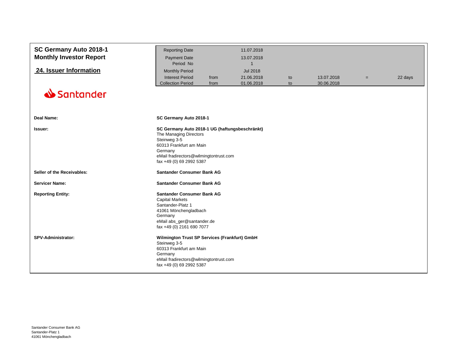<span id="page-34-0"></span>

| SC Germany Auto 2018-1<br><b>Monthly Investor Report</b><br>24. Issuer Information<br>Santander | <b>Reporting Date</b><br><b>Payment Date</b><br>Period No<br><b>Monthly Period</b><br><b>Interest Period</b><br><b>Collection Period</b>                                                             | from<br>from | 11.07.2018<br>13.07.2018<br>$\mathbf 1$<br><b>Jul 2018</b><br>21.06.2018<br>01.06.2018 | to<br>to | 13.07.2018<br>30.06.2018 | $=$ | 22 days |  |
|-------------------------------------------------------------------------------------------------|------------------------------------------------------------------------------------------------------------------------------------------------------------------------------------------------------|--------------|----------------------------------------------------------------------------------------|----------|--------------------------|-----|---------|--|
|                                                                                                 |                                                                                                                                                                                                      |              |                                                                                        |          |                          |     |         |  |
| <b>Deal Name:</b>                                                                               | SC Germany Auto 2018-1                                                                                                                                                                               |              |                                                                                        |          |                          |     |         |  |
| Issuer:                                                                                         | SC Germany Auto 2018-1 UG (haftungsbeschränkt)<br>The Managing Directors<br>Steinweg 3-5<br>60313 Frankfurt am Main<br>Germany<br>eMail fradirectors@wilmingtontrust.com<br>fax +49 (0) 69 2992 5387 |              |                                                                                        |          |                          |     |         |  |
| Seller of the Receivables:                                                                      | Santander Consumer Bank AG                                                                                                                                                                           |              |                                                                                        |          |                          |     |         |  |
| <b>Servicer Name:</b>                                                                           | Santander Consumer Bank AG                                                                                                                                                                           |              |                                                                                        |          |                          |     |         |  |
| <b>Reporting Entity:</b>                                                                        | Santander Consumer Bank AG<br><b>Capital Markets</b><br>Santander-Platz 1<br>41061 Mönchengladbach<br>Germany<br>eMail abs_ger@santander.de<br>fax +49 (0) 2161 690 7077                             |              |                                                                                        |          |                          |     |         |  |
| SPV-Administrator:                                                                              | Wilmington Trust SP Services (Frankfurt) GmbH<br>Steinweg 3-5<br>60313 Frankfurt am Main<br>Germany<br>eMail fradirectors@wilmingtontrust.com<br>fax +49 (0) 69 2992 5387                            |              |                                                                                        |          |                          |     |         |  |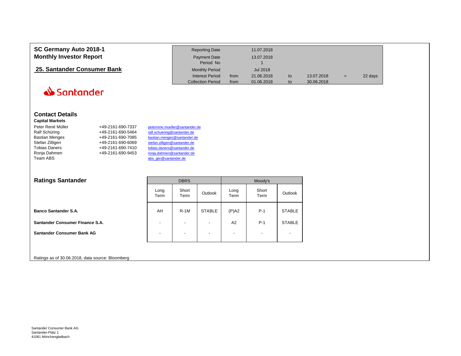<span id="page-35-0"></span>

| SC Germany Auto 2018-1         | <b>Reporting Date</b>    |      | 11.07.2018 |    |            |     |         |
|--------------------------------|--------------------------|------|------------|----|------------|-----|---------|
| <b>Monthly Investor Report</b> | Payment Date             |      | 13.07.2018 |    |            |     |         |
|                                | Period No                |      |            |    |            |     |         |
| 25. Santander Consumer Bank    | <b>Monthly Period</b>    |      | Jul 2018   |    |            |     |         |
|                                | <b>Interest Period</b>   | from | 21.06.2018 | to | 13.07.2018 | $=$ | 22 days |
|                                | <b>Collection Period</b> | from | 01.06.2018 | to | 30.06.2018 |     |         |

#### **Contact Details**

#### **Capital Markets**

| Peter René Müller     | +49-2161-690-7337 | peterrene.mueller@santander.de |
|-----------------------|-------------------|--------------------------------|
| Ralf Schüring         | +49-2161-690-5464 | ralf.schuering@santander.de    |
| <b>Bastian Menges</b> | +49-2161-690-7085 | bastian.menges@santander.de    |
| Stefan Zilligen       | +49-2161-690-6069 | stefan.zilligen@santander.de   |
| <b>Tobias Daners</b>  | +49-2161-690-7410 | tobias.daners@santander.de     |
| Ronja Dahmen          | +49-2161-690-9453 | ronja.dahmen@santander.de      |
| Team ABS              |                   | abs ger@santander.de           |

| <b>Ratings Santander</b>          |                          | <b>DBRS</b>              |                          | Moody's                  |                          |               |  |
|-----------------------------------|--------------------------|--------------------------|--------------------------|--------------------------|--------------------------|---------------|--|
|                                   | Long<br>Term             | Short<br>Term            | Outlook                  | Long<br>Term             | Short<br>Term            | Outlook       |  |
| <b>Banco Santander S.A.</b>       | AH                       | $R-1M$                   | <b>STABLE</b>            | $(P)$ A2                 | $P-1$                    | <b>STABLE</b> |  |
| Santander Consumer Finance S.A.   | $\overline{\phantom{a}}$ | $\overline{\phantom{0}}$ | $\blacksquare$           | A <sub>2</sub>           | $P-1$                    | <b>STABLE</b> |  |
| <b>Santander Consumer Bank AG</b> | $\overline{\phantom{a}}$ | $\overline{\phantom{0}}$ | $\overline{\phantom{a}}$ | $\overline{\phantom{a}}$ | $\overline{\phantom{0}}$ |               |  |

#### Ratings as of 30.06.2018, data source: Bloomberg